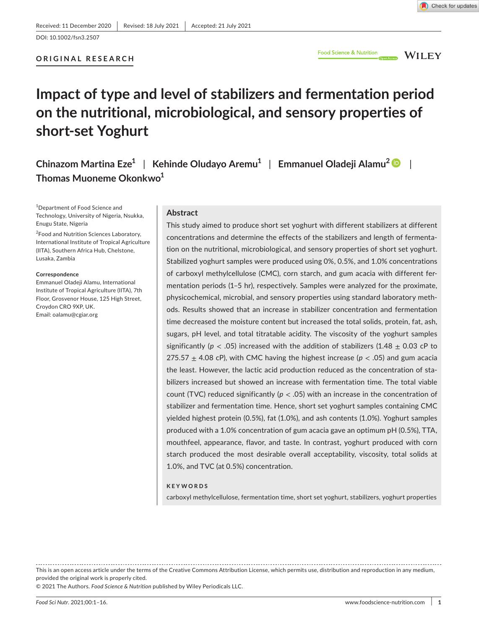DOI: 10.1002/fsn3.2507

## **ORIGINAL RESEARCH**

WILEY

# **Impact of type and level of stabilizers and fermentation period on the nutritional, microbiological, and sensory properties of short-set Yoghurt**

**Chinazom Martina Eze1** | **Kehinde Oludayo Aremu1** | **Emmanuel Oladeji Alamu<sup>2</sup>** | **Thomas Muoneme Okonkwo1**

1 Department of Food Science and Technology, University of Nigeria, Nsukka, Enugu State, Nigeria

2 Food and Nutrition Sciences Laboratory, International Institute of Tropical Agriculture (IITA), Southern Africa Hub, Chelstone, Lusaka, Zambia

#### **Correspondence**

Emmanuel Oladeji Alamu, International Institute of Tropical Agriculture (IITA), 7th Floor, Grosvenor House, 125 High Street, Croydon CRO 9XP, UK. Email: [oalamu@cgiar.org](mailto:oalamu@cgiar.org)

## **Abstract**

This study aimed to produce short set yoghurt with different stabilizers at different concentrations and determine the effects of the stabilizers and length of fermentation on the nutritional, microbiological, and sensory properties of short set yoghurt. Stabilized yoghurt samples were produced using 0%, 0.5%, and 1.0% concentrations of carboxyl methylcellulose (CMC), corn starch, and gum acacia with different fermentation periods (1–5 hr), respectively. Samples were analyzed for the proximate, physicochemical, microbial, and sensory properties using standard laboratory methods. Results showed that an increase in stabilizer concentration and fermentation time decreased the moisture content but increased the total solids, protein, fat, ash, sugars, pH level, and total titratable acidity. The viscosity of the yoghurt samples significantly ( $p < .05$ ) increased with the addition of stabilizers (1.48  $\pm$  0.03 cP to 275.57  $\pm$  4.08 cP), with CMC having the highest increase ( $p < .05$ ) and gum acacia the least. However, the lactic acid production reduced as the concentration of stabilizers increased but showed an increase with fermentation time. The total viable count (TVC) reduced significantly (*p* < .05) with an increase in the concentration of stabilizer and fermentation time. Hence, short set yoghurt samples containing CMC yielded highest protein (0.5%), fat (1.0%), and ash contents (1.0%). Yoghurt samples produced with a 1.0% concentration of gum acacia gave an optimum pH (0.5%), TTA, mouthfeel, appearance, flavor, and taste. In contrast, yoghurt produced with corn starch produced the most desirable overall acceptability, viscosity, total solids at 1.0%, and TVC (at 0.5%) concentration.

#### **KEYWORDS**

carboxyl methylcellulose, fermentation time, short set yoghurt, stabilizers, yoghurt properties

This is an open access article under the terms of the [Creative Commons Attribution](http://creativecommons.org/licenses/by/4.0/) License, which permits use, distribution and reproduction in any medium, provided the original work is properly cited.

© 2021 The Authors. *Food Science & Nutrition* published by Wiley Periodicals LLC.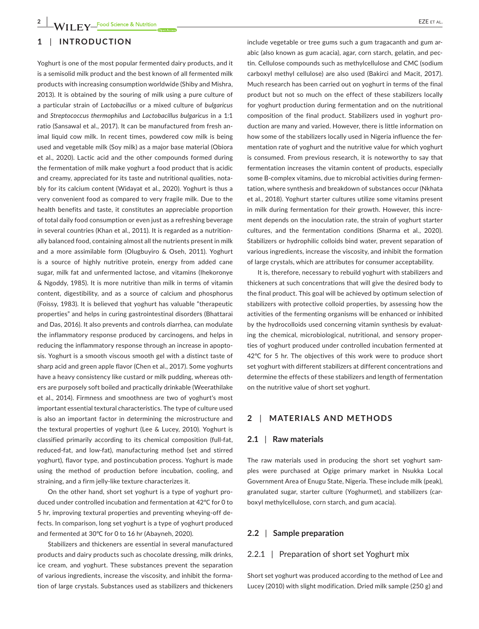# **1** | **INTRODUCTION**

Yoghurt is one of the most popular fermented dairy products, and it is a semisolid milk product and the best known of all fermented milk products with increasing consumption worldwide (Shiby and Mishra, 2013). It is obtained by the souring of milk using a pure culture of a particular strain of *Lactobacillus* or a mixed culture of *bulgaricus* and *Streptococcus thermophilus* and *Lactobacillus bulgaricus* in a 1:1 ratio (Sansawal et al., 2017). It can be manufactured from fresh animal liquid cow milk. In recent times, powdered cow milk is being used and vegetable milk (Soy milk) as a major base material (Obiora et al., 2020). Lactic acid and the other compounds formed during the fermentation of milk make yoghurt a food product that is acidic and creamy, appreciated for its taste and nutritional qualities, notably for its calcium content (Widayat et al., 2020). Yoghurt is thus a very convenient food as compared to very fragile milk. Due to the health benefits and taste, it constitutes an appreciable proportion of total daily food consumption or even just as a refreshing beverage in several countries (Khan et al., 2011). It is regarded as a nutritionally balanced food, containing almost all the nutrients present in milk and a more assimilable form (Olugbuyiro & Oseh, 2011). Yoghurt is a source of highly nutritive protein, energy from added cane sugar, milk fat and unfermented lactose, and vitamins (Ihekoronye & Ngoddy, 1985). It is more nutritive than milk in terms of vitamin content, digestibility, and as a source of calcium and phosphorus (Foissy, 1983). It is believed that yoghurt has valuable "therapeutic properties" and helps in curing gastrointestinal disorders (Bhattarai and Das, 2016). It also prevents and controls diarrhea, can modulate the inflammatory response produced by carcinogens, and helps in reducing the inflammatory response through an increase in apoptosis. Yoghurt is a smooth viscous smooth gel with a distinct taste of sharp acid and green apple flavor (Chen et al., 2017). Some yoghurts have a heavy consistency like custard or milk pudding, whereas others are purposely soft boiled and practically drinkable (Weerathilake et al., 2014). Firmness and smoothness are two of yoghurt's most important essential textural characteristics. The type of culture used is also an important factor in determining the microstructure and the textural properties of yoghurt (Lee & Lucey, 2010). Yoghurt is classified primarily according to its chemical composition (full-fat, reduced-fat, and low-fat), manufacturing method (set and stirred yoghurt), flavor type, and postincubation process. Yoghurt is made using the method of production before incubation, cooling, and straining, and a firm jelly-like texture characterizes it.

On the other hand, short set yoghurt is a type of yoghurt produced under controlled incubation and fermentation at 42℃ for 0 to 5 hr, improving textural properties and preventing wheying-off defects. In comparison, long set yoghurt is a type of yoghurt produced and fermented at 30℃ for 0 to 16 hr (Abayneh, 2020).

Stabilizers and thickeners are essential in several manufactured products and dairy products such as chocolate dressing, milk drinks, ice cream, and yoghurt. These substances prevent the separation of various ingredients, increase the viscosity, and inhibit the formation of large crystals. Substances used as stabilizers and thickeners

include vegetable or tree gums such a gum tragacanth and gum arabic (also known as gum acacia), agar, corn starch, gelatin, and pectin. Cellulose compounds such as methylcellulose and CMC (sodium carboxyl methyl cellulose) are also used (Bakirci and Macit, 2017). Much research has been carried out on yoghurt in terms of the final product but not so much on the effect of these stabilizers locally for yoghurt production during fermentation and on the nutritional composition of the final product. Stabilizers used in yoghurt production are many and varied. However, there is little information on how some of the stabilizers locally used in Nigeria influence the fermentation rate of yoghurt and the nutritive value for which yoghurt is consumed. From previous research, it is noteworthy to say that fermentation increases the vitamin content of products, especially some B-complex vitamins, due to microbial activities during fermentation, where synthesis and breakdown of substances occur (Nkhata et al., 2018). Yoghurt starter cultures utilize some vitamins present in milk during fermentation for their growth. However, this increment depends on the inoculation rate, the strain of yoghurt starter cultures, and the fermentation conditions (Sharma et al., 2020). Stabilizers or hydrophilic colloids bind water, prevent separation of various ingredients, increase the viscosity, and inhibit the formation of large crystals, which are attributes for consumer acceptability.

It is, therefore, necessary to rebuild yoghurt with stabilizers and thickeners at such concentrations that will give the desired body to the final product. This goal will be achieved by optimum selection of stabilizers with protective colloid properties, by assessing how the activities of the fermenting organisms will be enhanced or inhibited by the hydrocolloids used concerning vitamin synthesis by evaluating the chemical, microbiological, nutritional, and sensory properties of yoghurt produced under controlled incubation fermented at 42℃ for 5 hr. The objectives of this work were to produce short set yoghurt with different stabilizers at different concentrations and determine the effects of these stabilizers and length of fermentation on the nutritive value of short set yoghurt.

#### **2** | **MATERIALS AND METHODS**

#### **2.1** | **Raw materials**

The raw materials used in producing the short set yoghurt samples were purchased at Ogige primary market in Nsukka Local Government Area of Enugu State, Nigeria. These include milk (peak), granulated sugar, starter culture (Yoghurmet), and stabilizers (carboxyl methylcellulose, corn starch, and gum acacia).

## **2.2** | **Sample preparation**

## 2.2.1 | Preparation of short set Yoghurt mix

Short set yoghurt was produced according to the method of Lee and Lucey (2010) with slight modification. Dried milk sample (250 g) and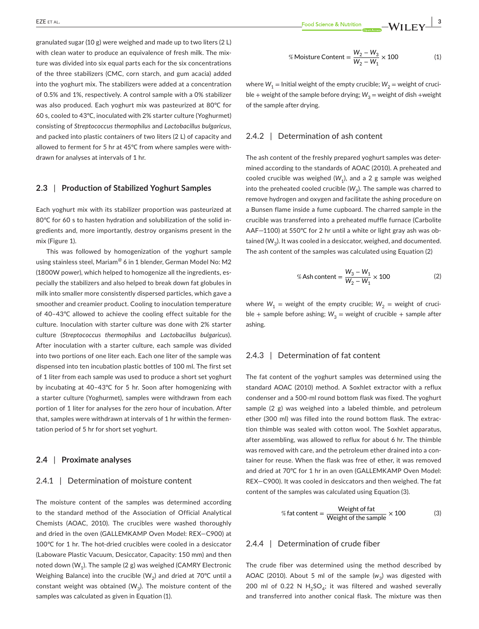granulated sugar (10 g) were weighed and made up to two liters (2 L) with clean water to produce an equivalence of fresh milk. The mixture was divided into six equal parts each for the six concentrations of the three stabilizers (CMC, corn starch, and gum acacia) added into the yoghurt mix. The stabilizers were added at a concentration of 0.5% and 1%, respectively. A control sample with a 0% stabilizer was also produced. Each yoghurt mix was pasteurized at 80℃ for 60 s, cooled to 43℃, inoculated with 2% starter culture (Yoghurmet) consisting of *Streptococcus thermophilus* and *Lactobacillus bulgaricus,* and packed into plastic containers of two liters (2 L) of capacity and allowed to ferment for 5 hr at 45℃ from where samples were withdrawn for analyses at intervals of 1 hr.

## **2.3** | **Production of Stabilized Yoghurt Samples**

Each yoghurt mix with its stabilizer proportion was pasteurized at 80℃ for 60 s to hasten hydration and solubilization of the solid ingredients and, more importantly, destroy organisms present in the mix (Figure 1).

This was followed by homogenization of the yoghurt sample using stainless steel, Mariam<sup>@</sup> 6 in 1 blender, German Model No: M2 (1800W power), which helped to homogenize all the ingredients, especially the stabilizers and also helped to break down fat globules in milk into smaller more consistently dispersed particles, which gave a smoother and creamier product. Cooling to inoculation temperature of 40–43℃ allowed to achieve the cooling effect suitable for the culture. Inoculation with starter culture was done with 2% starter culture (*Streptococcus thermophilus* and *Lactobacillus bulgaricus*). After inoculation with a starter culture, each sample was divided into two portions of one liter each. Each one liter of the sample was dispensed into ten incubation plastic bottles of 100 ml. The first set of 1 liter from each sample was used to produce a short set yoghurt by incubating at 40–43℃ for 5 hr. Soon after homogenizing with a starter culture (Yoghurmet), samples were withdrawn from each portion of 1 liter for analyses for the zero hour of incubation. After that, samples were withdrawn at intervals of 1 hr within the fermentation period of 5 hr for short set yoghurt.

#### **2.4** | **Proximate analyses**

#### 2.4.1 | Determination of moisture content

The moisture content of the samples was determined according to the standard method of the Association of Official Analytical Chemists (AOAC, 2010). The crucibles were washed thoroughly and dried in the oven (GALLEMKAMP Oven Model: REX—C900) at 100℃ for 1 hr. The hot-dried crucibles were cooled in a desiccator (Laboware Plastic Vacuum, Desiccator, Capacity: 150 mm) and then noted down  $(W_1)$ . The sample (2 g) was weighed (CAMRY Electronic Weighing Balance) into the crucible (W<sub>2</sub>) and dried at 70°C until a constant weight was obtained ( $W<sub>3</sub>$ ). The moisture content of the samples was calculated as given in Equation (1).

$$
\% \text{Moisture Content} = \frac{W_2 - W_3}{W_2 - W_1} \times 100 \tag{1}
$$

where  $W_1$  = Initial weight of the empty crucible;  $W_2$  = weight of crucible + weight of the sample before drying;  $W_3$  = weight of dish +weight of the sample after drying.

## 2.4.2 | Determination of ash content

The ash content of the freshly prepared yoghurt samples was determined according to the standards of AOAC (2010). A preheated and cooled crucible was weighed  $(W_1)$ , and a 2 g sample was weighed into the preheated cooled crucible  $(W_2)$ . The sample was charred to remove hydrogen and oxygen and facilitate the ashing procedure on a Bunsen flame inside a fume cupboard. The charred sample in the crucible was transferred into a preheated muffle furnace (Carbolite AAF—1100) at 550℃ for 2 hr until a white or light gray ash was obtained  $(W_2)$ . It was cooled in a desiccator, weighed, and documented. The ash content of the samples was calculated using Equation (2)

% Ash content = 
$$
\frac{W_3 - W_1}{W_2 - W_1} \times 100
$$
 (2)

where  $W_1$  = weight of the empty crucible;  $W_2$  = weight of crucible + sample before ashing;  $W_3$  = weight of crucible + sample after ashing.

## 2.4.3 | Determination of fat content

The fat content of the yoghurt samples was determined using the standard AOAC (2010) method. A Soxhlet extractor with a reflux condenser and a 500-ml round bottom flask was fixed. The yoghurt sample (2 g) was weighed into a labeled thimble, and petroleum ether (300 ml) was filled into the round bottom flask. The extraction thimble was sealed with cotton wool. The Soxhlet apparatus, after assembling, was allowed to reflux for about 6 hr. The thimble was removed with care, and the petroleum ether drained into a container for reuse. When the flask was free of ether, it was removed and dried at 70℃ for 1 hr in an oven (GALLEMKAMP Oven Model: REX—C900). It was cooled in desiccators and then weighed. The fat content of the samples was calculated using Equation (3).

% fat content = 
$$
\frac{\text{Weight of fat}}{\text{Weight of the sample}} \times 100
$$
 (3)

## 2.4.4 | Determination of crude fiber

The crude fiber was determined using the method described by AOAC (2010). About 5 ml of the sample  $(w_3)$  was digested with 200 ml of 0.22 N  $H_2SO_4$ ; it was filtered and washed severally and transferred into another conical flask. The mixture was then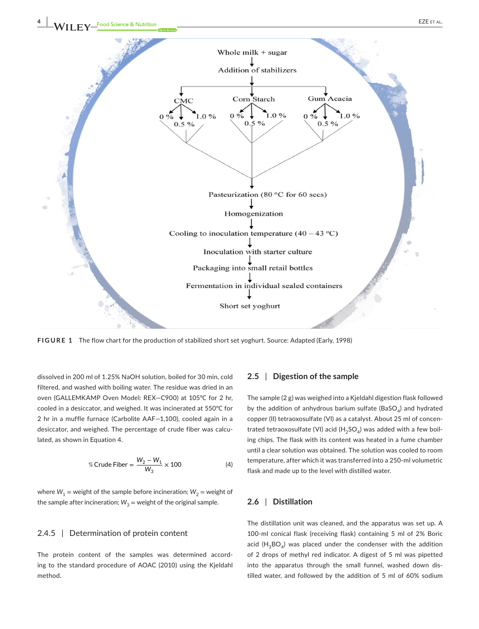

**FIGURE 1** The flow chart for the production of stabilized short set yoghurt. Source: Adapted (Early, 1998)

dissolved in 200 ml of 1.25% NaOH solution, boiled for 30 min, cold filtered, and washed with boiling water. The residue was dried in an oven (GALLEMKAMP Oven Model: REX—C900) at 105℃ for 2 hr, cooled in a desiccator, and weighed. It was incinerated at 550℃ for 2 hr in a muffle furnace (Carbolite AAF—1,100), cooled again in a desiccator, and weighed. The percentage of crude fiber was calculated, as shown in Equation 4.

% Crude Fiber = 
$$
\frac{W_2 - W_1}{W_3} \times 100
$$
 (4)

where  $W_1$  = weight of the sample before incineration;  $W_2$  = weight of the sample after incineration;  $W_3$  = weight of the original sample.

## 2.4.5 | Determination of protein content

The protein content of the samples was determined according to the standard procedure of AOAC (2010) using the Kjeldahl method.

## **2.5** | **Digestion of the sample**

The sample (2 g) was weighed into a Kjeldahl digestion flask followed by the addition of anhydrous barium sulfate (BaSO<sub>4</sub>) and hydrated copper (II) tetraoxosulfate (VI) as a catalyst. About 25 ml of concentrated tetraoxosulfate (VI) acid (H<sub>2</sub>SO<sub>4</sub>) was added with a few boiling chips. The flask with its content was heated in a fume chamber until a clear solution was obtained. The solution was cooled to room temperature, after which it was transferred into a 250-ml volumetric flask and made up to the level with distilled water.

## **2.6** | **Distillation**

The distillation unit was cleaned, and the apparatus was set up. A 100-ml conical flask (receiving flask) containing 5 ml of 2% Boric acid ( $H_3BO_4$ ) was placed under the condenser with the addition of 2 drops of methyl red indicator. A digest of 5 ml was pipetted into the apparatus through the small funnel, washed down distilled water, and followed by the addition of 5 ml of 60% sodium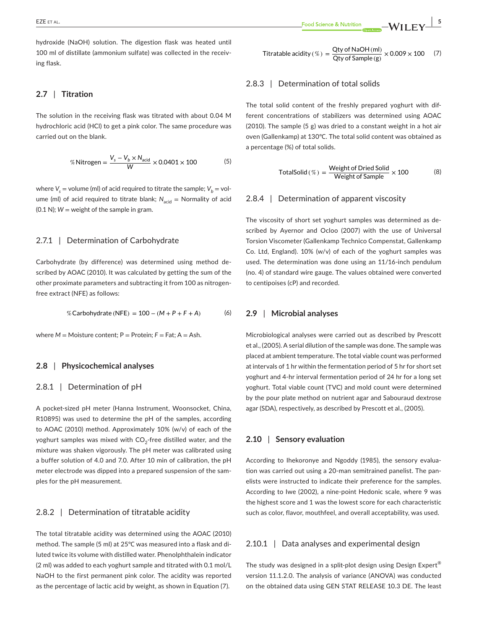hydroxide (NaOH) solution. The digestion flask was heated until 100 ml of distillate (ammonium sulfate) was collected in the receiving flask.

## **2.7** | **Titration**

The solution in the receiving flask was titrated with about 0.04 M hydrochloric acid (HCl) to get a pink color. The same procedure was carried out on the blank.

% Nitrogen = 
$$
\frac{V_s - V_b \times N_{\text{acid}}}{W} \times 0.0401 \times 100
$$
 (5)

where  $V_s$  = volume (ml) of acid required to titrate the sample;  $V_b$  = volume (ml) of acid required to titrate blank;  $N_{\text{acid}} =$  Normality of acid  $(0.1 N)$ ;  $W =$  weight of the sample in gram.

#### 2.7.1 | Determination of Carbohydrate

Carbohydrate (by difference) was determined using method described by AOAC (2010). It was calculated by getting the sum of the other proximate parameters and subtracting it from 100 as nitrogenfree extract (NFE) as follows:

% Carbohydrate (NFE) = 
$$
100 - (M + P + F + A)
$$
 (6)

where  $M =$  Moisture content; P = Protein; F = Fat; A = Ash.

## **2.8** | **Physicochemical analyses**

## 2.8.1 | Determination of pH

A pocket-sized pH meter (Hanna Instrument, Woonsocket, China, R10895) was used to determine the pH of the samples, according to AOAC (2010) method. Approximately 10% (w/v) of each of the yoghurt samples was mixed with  $CO<sub>2</sub>$ -free distilled water, and the mixture was shaken vigorously. The pH meter was calibrated using a buffer solution of 4.0 and 7.0. After 10 min of calibration, the pH meter electrode was dipped into a prepared suspension of the samples for the pH measurement.

## 2.8.2 | Determination of titratable acidity

The total titratable acidity was determined using the AOAC (2010) method. The sample (5 ml) at 25℃ was measured into a flask and diluted twice its volume with distilled water. Phenolphthalein indicator (2 ml) was added to each yoghurt sample and titrated with 0.1 mol/L NaOH to the first permanent pink color. The acidity was reported as the percentage of lactic acid by weight, as shown in Equation (7).

Titratable acidity (%) =  $\frac{Qt y \text{ of NaOH (ml)}}{Qt y \text{ of Sample (g)}} \times 0.009 \times 100$  (7)

## 2.8.3 | Determination of total solids

The total solid content of the freshly prepared yoghurt with different concentrations of stabilizers was determined using AOAC (2010). The sample (5 g) was dried to a constant weight in a hot air oven (Gallenkamp) at 130℃. The total solid content was obtained as a percentage (%) of total solids.

$$
TotalSolid (\%) = \frac{Weight of Dried Solid}{Weight of Sample} \times 100
$$
 (8)

## 2.8.4 | Determination of apparent viscosity

The viscosity of short set yoghurt samples was determined as described by Ayernor and Ocloo (2007) with the use of Universal Torsion Viscometer (Gallenkamp Technico Compenstat, Gallenkamp Co. Ltd, England). 10% (w/v) of each of the yoghurt samples was used. The determination was done using an 11/16-inch pendulum (no. 4) of standard wire gauge. The values obtained were converted to centipoises (cP) and recorded.

## **2.9** | **Microbial analyses**

Microbiological analyses were carried out as described by Prescott et al., (2005). A serial dilution of the sample was done. The sample was placed at ambient temperature. The total viable count was performed at intervals of 1 hr within the fermentation period of 5 hr for short set yoghurt and 4-hr interval fermentation period of 24 hr for a long set yoghurt. Total viable count (TVC) and mold count were determined by the pour plate method on nutrient agar and Sabouraud dextrose agar (SDA), respectively, as described by Prescott et al., (2005).

## **2.10** | **Sensory evaluation**

According to Ihekoronye and Ngoddy (1985), the sensory evaluation was carried out using a 20-man semitrained panelist. The panelists were instructed to indicate their preference for the samples. According to Iwe (2002), a nine-point Hedonic scale, where 9 was the highest score and 1 was the lowest score for each characteristic such as color, flavor, mouthfeel, and overall acceptability, was used.

## 2.10.1 | Data analyses and experimental design

The study was designed in a split-plot design using Design Expert® version 11.1.2.0. The analysis of variance (ANOVA) was conducted on the obtained data using GEN STAT RELEASE 10.3 DE. The least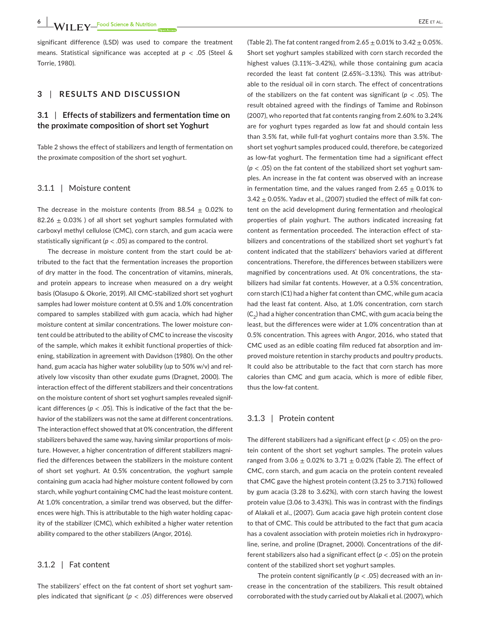significant difference (LSD) was used to compare the treatment means. Statistical significance was accepted at *p* < .05 (Steel & Torrie, 1980).

## **3** | **RESULTS AND DISCUSSION**

# **3.1** | **Effects of stabilizers and fermentation time on the proximate composition of short set Yoghurt**

Table 2 shows the effect of stabilizers and length of fermentation on the proximate composition of the short set yoghurt.

## 3.1.1 | Moisture content

The decrease in the moisture contents (from 88.54  $\pm$  0.02% to 82.26  $\pm$  0.03% ) of all short set yoghurt samples formulated with carboxyl methyl cellulose (CMC), corn starch, and gum acacia were statistically significant ( $p < .05$ ) as compared to the control.

The decrease in moisture content from the start could be attributed to the fact that the fermentation increases the proportion of dry matter in the food. The concentration of vitamins, minerals, and protein appears to increase when measured on a dry weight basis (Olasupo & Okorie, 2019). All CMC-stabilized short set yoghurt samples had lower moisture content at 0.5% and 1.0% concentration compared to samples stabilized with gum acacia, which had higher moisture content at similar concentrations. The lower moisture content could be attributed to the ability of CMC to increase the viscosity of the sample, which makes it exhibit functional properties of thickening, stabilization in agreement with Davidson (1980). On the other hand, gum acacia has higher water solubility (up to 50% w/v) and relatively low viscosity than other exudate gums (Dragnet, 2000). The interaction effect of the different stabilizers and their concentrations on the moisture content of short set yoghurt samples revealed significant differences ( $p < .05$ ). This is indicative of the fact that the behavior of the stabilizers was not the same at different concentrations. The interaction effect showed that at 0% concentration, the different stabilizers behaved the same way, having similar proportions of moisture. However, a higher concentration of different stabilizers magnified the differences between the stabilizers in the moisture content of short set yoghurt. At 0.5% concentration, the yoghurt sample containing gum acacia had higher moisture content followed by corn starch, while yoghurt containing CMC had the least moisture content. At 1.0% concentration, a similar trend was observed, but the differences were high. This is attributable to the high water holding capacity of the stabilizer (CMC), which exhibited a higher water retention ability compared to the other stabilizers (Angor, 2016).

## 3.1.2 | Fat content

The stabilizers' effect on the fat content of short set yoghurt samples indicated that significant (*p* < *.05*) differences were observed (Table 2). The fat content ranged from  $2.65 + 0.01\%$  to  $3.42 + 0.05\%$ . Short set yoghurt samples stabilized with corn starch recorded the highest values (3.11%–3.42%), while those containing gum acacia recorded the least fat content (2.65%–3.13%). This was attributable to the residual oil in corn starch. The effect of concentrations of the stabilizers on the fat content was significant (*p* < .05). The result obtained agreed with the findings of Tamime and Robinson (2007), who reported that fat contents ranging from 2.60% to 3.24% are for yoghurt types regarded as low fat and should contain less than 3.5% fat, while full-fat yoghurt contains more than 3.5%. The short set yoghurt samples produced could, therefore, be categorized as low-fat yoghurt. The fermentation time had a significant effect  $(p < .05)$  on the fat content of the stabilized short set yoghurt samples. An increase in the fat content was observed with an increase in fermentation time, and the values ranged from  $2.65 \pm 0.01\%$  to  $3.42 \pm 0.05$ %. Yadav et al., (2007) studied the effect of milk fat content on the acid development during fermentation and rheological properties of plain yoghurt. The authors indicated increasing fat content as fermentation proceeded. The interaction effect of stabilizers and concentrations of the stabilized short set yoghurt's fat content indicated that the stabilizers' behaviors varied at different concentrations. Therefore, the differences between stabilizers were magnified by concentrations used. At 0% concentrations, the stabilizers had similar fat contents. However, at a 0.5% concentration, corn starch (C1) had a higher fat content than CMC, while gum acacia had the least fat content. Also, at 1.0% concentration, corn starch  $(C_2)$  had a higher concentration than CMC, with gum acacia being the least, but the differences were wider at 1.0% concentration than at 0.5% concentration. This agrees with Angor, 2016, who stated that CMC used as an edible coating film reduced fat absorption and improved moisture retention in starchy products and poultry products. It could also be attributable to the fact that corn starch has more calories than CMC and gum acacia, which is more of edible fiber, thus the low-fat content.

## 3.1.3 | Protein content

The different stabilizers had a significant effect (*p* < .05) on the protein content of the short set yoghurt samples. The protein values ranged from  $3.06 \pm 0.02\%$  to  $3.71 \pm 0.02\%$  (Table 2). The effect of CMC, corn starch, and gum acacia on the protein content revealed that CMC gave the highest protein content (3.25 to 3.71%) followed by gum acacia (3.28 to 3.62%), with corn starch having the lowest protein value (3.06 to 3.43%). This was in contrast with the findings of Alakali et al., (2007). Gum acacia gave high protein content close to that of CMC. This could be attributed to the fact that gum acacia has a covalent association with protein moieties rich in hydroxyproline, serine, and proline (Dragnet, 2000). Concentrations of the different stabilizers also had a significant effect (*p* < .05) on the protein content of the stabilized short set yoghurt samples.

The protein content significantly ( $p < .05$ ) decreased with an increase in the concentration of the stabilizers. This result obtained corroborated with the study carried out by Alakali et al. (2007), which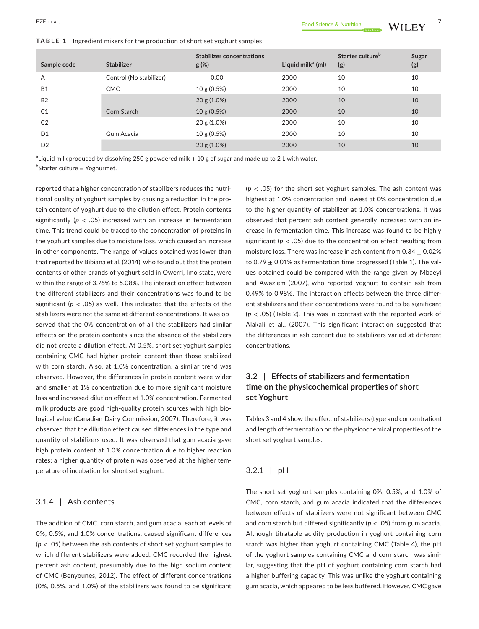**TABLE 1** Ingredient mixers for the production of short set yoghurt samples

| Sample code    | <b>Stabilizer</b>       | <b>Stabilizer concentrations</b><br>$g(\%)$ | Liquid mil $k^a$ (ml) | Starter culture <sup>b</sup><br>(g) | Sugar<br>(g) |
|----------------|-------------------------|---------------------------------------------|-----------------------|-------------------------------------|--------------|
| A              | Control (No stabilizer) | 0.00                                        | 2000                  | 10                                  | 10           |
| <b>B1</b>      | <b>CMC</b>              | 10 g (0.5%)                                 | 2000                  | 10                                  | 10           |
| <b>B2</b>      |                         | $20 g(1.0\%)$                               | 2000                  | 10                                  | 10           |
| C <sub>1</sub> | Corn Starch             | 10 g (0.5%)                                 | 2000                  | 10                                  | 10           |
| C <sub>2</sub> |                         | $20 g(1.0\%)$                               | 2000                  | 10                                  | 10           |
| D <sub>1</sub> | Gum Acacia              | 10 g (0.5%)                                 | 2000                  | 10                                  | 10           |
| D <sub>2</sub> |                         | $20 g(1.0\%)$                               | 2000                  | 10                                  | 10           |

 $^{\rm a}$ Liquid milk produced by dissolving 250 g powdered milk  $+$  10 g of sugar and made up to 2 L with water.

<sup>b</sup>Starter culture = Yoghurmet.

reported that a higher concentration of stabilizers reduces the nutritional quality of yoghurt samples by causing a reduction in the protein content of yoghurt due to the dilution effect. Protein contents significantly (*p* < .05) increased with an increase in fermentation time. This trend could be traced to the concentration of proteins in the yoghurt samples due to moisture loss, which caused an increase in other components. The range of values obtained was lower than that reported by Bibiana et al. (2014), who found out that the protein contents of other brands of yoghurt sold in Owerri, Imo state, were within the range of 3.76% to 5.08%. The interaction effect between the different stabilizers and their concentrations was found to be significant ( $p < .05$ ) as well. This indicated that the effects of the stabilizers were not the same at different concentrations. It was observed that the 0% concentration of all the stabilizers had similar effects on the protein contents since the absence of the stabilizers did not create a dilution effect. At 0.5%, short set yoghurt samples containing CMC had higher protein content than those stabilized with corn starch. Also, at 1.0% concentration, a similar trend was observed. However, the differences in protein content were wider and smaller at 1% concentration due to more significant moisture loss and increased dilution effect at 1.0% concentration. Fermented milk products are good high-quality protein sources with high biological value (Canadian Dairy Commission, 2007). Therefore, it was observed that the dilution effect caused differences in the type and quantity of stabilizers used. It was observed that gum acacia gave high protein content at 1.0% concentration due to higher reaction rates; a higher quantity of protein was observed at the higher temperature of incubation for short set yoghurt.

## 3.1.4 | Ash contents

The addition of CMC, corn starch, and gum acacia, each at levels of 0%, 0.5%, and 1.0% concentrations, caused significant differences (*p* < .05) between the ash contents of short set yoghurt samples to which different stabilizers were added. CMC recorded the highest percent ash content, presumably due to the high sodium content of CMC (Benyounes, 2012). The effect of different concentrations (0%, 0.5%, and 1.0%) of the stabilizers was found to be significant

 $(p < .05)$  for the short set yoghurt samples. The ash content was highest at 1.0% concentration and lowest at 0% concentration due to the higher quantity of stabilizer at 1.0% concentrations. It was observed that percent ash content generally increased with an increase in fermentation time. This increase was found to be highly significant ( $p < .05$ ) due to the concentration effect resulting from moisture loss. There was increase in ash content from  $0.34 \pm 0.02\%$ to 0.79  $\pm$  0.01% as fermentation time progressed (Table 1). The values obtained could be compared with the range given by Mbaeyi and Awaziem (2007), who reported yoghurt to contain ash from 0.49% to 0.98%. The interaction effects between the three different stabilizers and their concentrations were found to be significant (*p* < .05) (Table 2). This was in contrast with the reported work of Alakali et al., (2007). This significant interaction suggested that the differences in ash content due to stabilizers varied at different concentrations.

# **3.2** | **Effects of stabilizers and fermentation time on the physicochemical properties of short set Yoghurt**

Tables 3 and 4 show the effect of stabilizers (type and concentration) and length of fermentation on the physicochemical properties of the short set yoghurt samples.

## 3.2.1 | pH

The short set yoghurt samples containing 0%, 0.5%, and 1.0% of CMC, corn starch, and gum acacia indicated that the differences between effects of stabilizers were not significant between CMC and corn starch but differed significantly ( $p < .05$ ) from gum acacia. Although titratable acidity production in yoghurt containing corn starch was higher than yoghurt containing CMC (Table 4), the pH of the yoghurt samples containing CMC and corn starch was similar, suggesting that the pH of yoghurt containing corn starch had a higher buffering capacity. This was unlike the yoghurt containing gum acacia, which appeared to be less buffered. However, CMC gave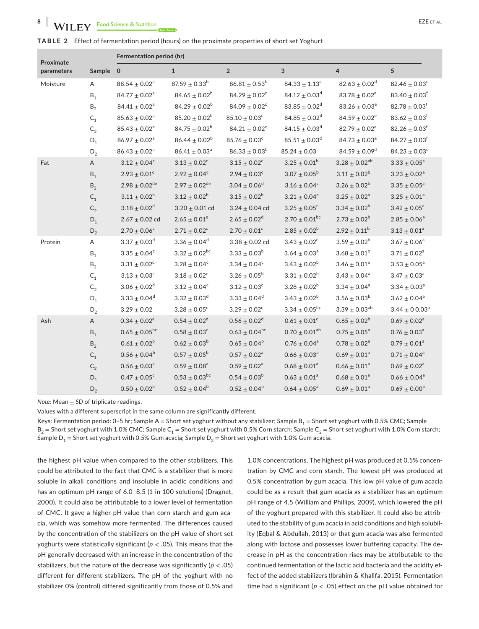|  | TABLE 2 Effect of fermentation period (hours) on the proximate properties of short set Yoghurt |  |  |  |  |
|--|------------------------------------------------------------------------------------------------|--|--|--|--|
|--|------------------------------------------------------------------------------------------------|--|--|--|--|

| Proximate  |                         | Fermentation period (hr)      |                               |                         |                               |                        |                               |  |  |
|------------|-------------------------|-------------------------------|-------------------------------|-------------------------|-------------------------------|------------------------|-------------------------------|--|--|
| parameters | Sample 0                |                               | $\mathbf{1}$                  | $\overline{2}$          | 3                             | $\overline{4}$         | 5                             |  |  |
| Moisture   | A                       | $88.54 \pm 0.02^a$            | $87.59 \pm 0.33^b$            | $86.81 \pm 0.53^b$      | $84.33 \pm 1.13^c$            | $82.63 \pm 0.02^d$     | $82.46 \pm 0.03$ <sup>d</sup> |  |  |
|            | $B_1$                   | $84.77 \pm 0.02^a$            | $84.65 \pm 0.02^b$            | $84.29 \pm 0.02^c$      | $84.12 \pm 0.03^d$            | $83.78 \pm 0.02^e$     | $83.40 \pm 0.03$ <sup>f</sup> |  |  |
|            | $\mathsf{B}_2$          | $84.41 \pm 0.02^a$            | $84.29 \pm 0.02^b$            | $84.09 \pm 0.02^c$      | $83.85 \pm 0.02$ <sup>d</sup> | $83.26 \pm 0.03^e$     | $82.78 \pm 0.03$ <sup>f</sup> |  |  |
|            | $\mathsf{C}_\mathsf{1}$ | $85.63 \pm 0.02^a$            | $85.20\pm0.02^{\mathrm{b}}$   | $85.10 \pm 0.03^c$      | $84.85 \pm 0.02^d$            | $84.59 \pm 0.02^e$     | $83.62 \pm 0.03^{\rm f}$      |  |  |
|            | $\mathsf{C}_2$          | $85.43\pm0.02^{\mathrm{a}}$   | $84.75 \pm 0.02^b$            | $84.21 \pm 0.02^c$      | $84.15 \pm 0.03^d$            | $82.79 \pm 0.02^e$     | $82.26 \pm 0.03$ <sup>f</sup> |  |  |
|            | $\mathsf{D}_1$          | $86.97 \pm 0.02$ <sup>a</sup> | $86.44 \pm 0.02^b$            | $85.76\pm0.03^{\rm c}$  | $85.51 \pm 0.03^d$            | $84.73\pm0.03^{\rm e}$ | $84.27 \pm 0.03$ <sup>f</sup> |  |  |
|            | $D_2$                   | $86.43\pm0.02^{\mathrm{a}}$   | $86.41 \pm 0.03$ <sup>a</sup> | $86.33 \pm 0.03^b$      | $85.24 \pm 0.03$              | $84.59 \pm 0.09^d$     | $84.23 \pm 0.03^e$            |  |  |
| Fat        | A                       | $3.12 \pm 0.04^c$             | $3.13 \pm 0.02^c$             | $3.15\pm0.02^{\rm c}$   | $3.25 \pm 0.01^b$             | $3.28 \pm 0.02^{ab}$   | $3.33 \pm 0.05^a$             |  |  |
|            | $B_1$                   | $2.93 \pm 0.01^c$             | $2.92\pm0.04^c$               | $2.94 \pm 0.03^c$       | $3.07\pm0.05^{\rm b}$         | $3.11 \pm 0.02^b$      | $3.23 \pm 0.02^a$             |  |  |
|            | $B_2$                   | $2.98 \pm 0.02$ <sup>de</sup> | $2.97 \pm 0.02^{\text{de}}$   | $3.04 \pm 0.06^d$       | $3.16 \pm 0.04^c$             | $3.26 \pm 0.02^b$      | $3.35 \pm 0.05^a$             |  |  |
|            | $C_1$                   | $3.11 \pm 0.02^b$             | $3.12 \pm 0.02^b$             | $3.15 \pm 0.02^b$       | $3.21 \pm 0.04^a$             | $3.25 \pm 0.02^a$      | $3.25 \pm 0.01^a$             |  |  |
|            | $C_2$                   | $3.18 \pm 0.02^d$             | $3.20 \pm 0.01$ cd            | $3.24 \pm 0.04$ cd      | $3.25 \pm 0.05^c$             | $3.34 \pm 0.02^b$      | $3.42 \pm 0.05^a$             |  |  |
|            | $D_1$                   | $2.67 \pm 0.02$ cd            | $2.65 \pm 0.01^e$             | $2.65 \pm 0.02^d$       | $2.70 \pm 0.01^{bc}$          | $2.73 \pm 0.02^b$      | $2.85 \pm 0.06^a$             |  |  |
|            | $D_2$                   | $2.70 \pm 0.06^c$             | $2.71 \pm 0.02^c$             | $2.70 \pm 0.01^{\circ}$ | $2.85 \pm 0.02^b$             | $2.92 \pm 0.11^b$      | $3.13\pm0.01^{\rm a}$         |  |  |
| Protein    | Α                       | $3.37 \pm 0.03^d$             | $3.36 \pm 0.04^d$             | $3.38 \pm 0.02$ cd      | $3.43\pm0.02^{\rm c}$         | $3.59 \pm 0.02^b$      | $3.67 \pm 0.06^a$             |  |  |
|            | $B_1$                   | $3.35 \pm 0.04^c$             | $3.32 \pm 0.02^{bc}$          | $3.33 \pm 0.03^b$       | $3.64 \pm 0.03^a$             | $3.68 \pm 0.01^b$      | $3.71 \pm 0.02^a$             |  |  |
|            | $B_2$                   | $3.31 \pm 0.02^c$             | $3.28 \pm 0.04^c$             | $3.34 \pm 0.04^c$       | $3.43 \pm 0.02^b$             | $3.46 \pm 0.01^a$      | $3.53 \pm 0.05^a$             |  |  |
|            | $\mathsf{C}_\mathsf{1}$ | $3.13\pm0.03^{\rm c}$         | $3.18\pm0.02^{\rm c}$         | $3.26 \pm 0.05^{\rm b}$ | $3.31\pm0.02^b$               | $3.43 \pm 0.04^a$      | $3.47 \pm 0.03^a$             |  |  |
|            | $\mathsf{C}_2$          | $3.06\pm0.02^{\rm d}$         | $3.12\pm0.04^c$               | $3.12 \pm 0.03^c$       | $3.28 \pm 0.02^b$             | $3.34 \pm 0.04^a$      | $3.34 \pm 0.03^a$             |  |  |
|            | $D_1$                   | $3.33\pm0.04^{\rm d}$         | $3.32 \pm 0.03^d$             | $3.33 \pm 0.04^d$       | $3.43 \pm 0.02^b$             | $3.56 \pm 0.03^b$      | $3.62 \pm 0.04^a$             |  |  |
|            | $\mathsf{D}_2$          | $3.29 \pm 0.02$               | $3.28 \pm 0.05^{\circ}$       | $3.29 \pm 0.02^c$       | $3.34 \pm 0.05^{bc}$          | $3.39 \pm 0.03^{ab}$   | $3.44 \pm 0.003$ <sup>a</sup> |  |  |
| Ash        | Α                       | $0.34 \pm 0.02^e$             | $0.54 \pm 0.02^d$             | $0.56 \pm 0.02^d$       | $0.61 \pm 0.01^c$             | $0.65 \pm 0.02^b$      | $0.69 \pm 0.02^a$             |  |  |
|            | $B_1$                   | $0.65 \pm 0.05^{bc}$          | $0.58 \pm 0.03^c$             | $0.63 \pm 0.04^{bc}$    | $0.70 \pm 0.01^{ab}$          | $0.75 \pm 0.05^a$      | $0.76 \pm 0.03$ <sup>a</sup>  |  |  |
|            | $\mathsf{B}_2$          | $0.61 \pm 0.02^b$             | $0.62 \pm 0.03^b$             | $0.65 \pm 0.04^b$       | $0.76 \pm 0.04$ <sup>a</sup>  | $0.78 \pm 0.02^a$      | $0.79 \pm 0.01^a$             |  |  |
|            | $C_1$                   | $0.56 \pm 0.04^b$             | $0.57 \pm 0.05^{\rm b}$       | $0.57 \pm 0.02^{\rm a}$ | $0.66 \pm 0.03^a$             | $0.69 \pm 0.01^a$      | $0.71 \pm 0.04^a$             |  |  |
|            | $C_2$                   | $0.56\pm0.03^{\rm a}$         | $0.59 \pm 0.08^a$             | $0.59 \pm 0.02^a$       | $0.68 \pm 0.01^a$             | $0.66 \pm 0.01^a$      | $0.69 \pm 0.02^{\rm a}$       |  |  |
|            | $D_1$                   | $0.47\pm0.05^{\rm c}$         | $0.53 \pm 0.03^{bc}$          | $0.54 \pm 0.03^b$       | $0.63 \pm 0.01^{\rm a}$       | $0.68\pm0.01^{\rm a}$  | $0.66 \pm 0.04$ <sup>a</sup>  |  |  |
|            | $\mathsf{D}_2$          | $0.50 \pm 0.02^b$             | $0.52 \pm 0.04^b$             | $0.52 \pm 0.04^b$       | $0.64 \pm 0.05^{\text{a}}$    | $0.69 \pm 0.01^a$      | $0.69 \pm 0.00^a$             |  |  |

*Note:* Mean ± *SD* of triplicate readings.

Values with a different superscript in the same column are significantly different.

Keys: Fermentation period: 0-5 hr; Sample A = Short set yoghurt without any stabilizer; Sample B<sub>1</sub> = Short set yoghurt with 0.5% CMC; Sample  $B_2$  = Short set yoghurt with 1.0% CMC; Sample C<sub>1</sub> = Short set yoghurt with 0.5% Corn starch; Sample C<sub>2</sub> = Short set yoghurt with 1.0% Corn starch; Sample  $D_1$  = Short set yoghurt with 0.5% Gum acacia; Sample  $D_2$  = Short set yoghurt with 1.0% Gum acacia.

the highest pH value when compared to the other stabilizers. This could be attributed to the fact that CMC is a stabilizer that is more soluble in alkali conditions and insoluble in acidic conditions and has an optimum pH range of 6.0-8.5 (1 in 100 solutions) (Dragnet, 2000). It could also be attributable to a lower level of fermentation of CMC. It gave a higher pH value than corn starch and gum acacia, which was somehow more fermented. The differences caused by the concentration of the stabilizers on the pH value of short set yoghurts were statistically significant (*p* < .05). This means that the pH generally decreased with an increase in the concentration of the stabilizers, but the nature of the decrease was significantly (*p* < .05) different for different stabilizers. The pH of the yoghurt with no stabilizer 0% (control) differed significantly from those of 0.5% and

1.0% concentrations. The highest pH was produced at 0.5% concentration by CMC and corn starch. The lowest pH was produced at 0.5% concentration by gum acacia. This low pH value of gum acacia could be as a result that gum acacia as a stabilizer has an optimum pH range of 4.5 (William and Phillips, 2009), which lowered the pH of the yoghurt prepared with this stabilizer. It could also be attributed to the stability of gum acacia in acid conditions and high solubility (Eqbal & Abdullah, 2013) or that gum acacia was also fermented along with lactose and possesses lower buffering capacity. The decrease in pH as the concentration rises may be attributable to the continued fermentation of the lactic acid bacteria and the acidity effect of the added stabilizers (Ibrahim & Khalifa, 2015). Fermentation time had a significant (*p* < .05) effect on the pH value obtained for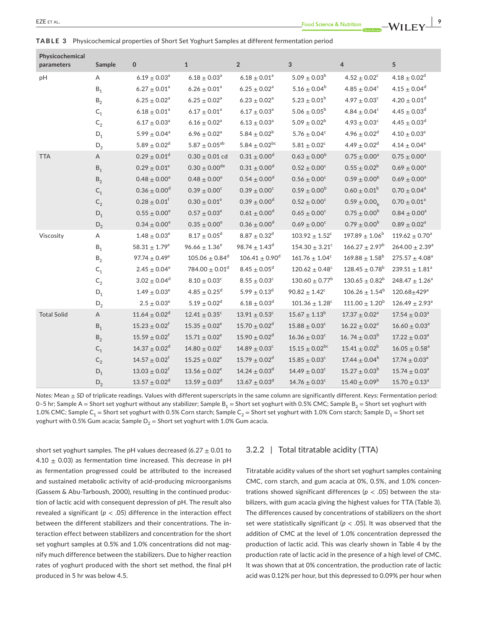**Physicochemical** 

| Physicochemical<br>parameters | Sample                  | 0                            | $\mathbf{1}$                   | $\overline{2}$                 | $\mathbf{3}$                   | 4                             | 5                              |
|-------------------------------|-------------------------|------------------------------|--------------------------------|--------------------------------|--------------------------------|-------------------------------|--------------------------------|
| pH                            | Α                       | $6.19 \pm 0.03$ <sup>a</sup> | $6.18 \pm 0.03$ <sup>a</sup>   | $6.18 \pm 0.01^a$              | $5.09 \pm 0.03^b$              | $4.52 \pm 0.02^c$             | $4.18 \pm 0.02^d$              |
|                               | $\mathsf{B}_1$          | $6.27 \pm 0.01^a$            | $6.26 \pm 0.01^a$              | $6.25 \pm 0.02^a$              | $5.16 \pm 0.04^b$              | $4.85 \pm 0.04^c$             | $4.15 \pm 0.04^d$              |
|                               | $\mathsf{B}_2$          | $6.25 \pm 0.02^a$            | $6.25 \pm 0.02^a$              | $6.23 \pm 0.02^a$              | $5.23 \pm 0.01^b$              | $4.97 \pm 0.03^c$             | $4.20 \pm 0.01$ <sup>d</sup>   |
|                               | $\mathsf{C}_\mathsf{1}$ | $6.18 \pm 0.01^a$            | $6.17 \pm 0.01^a$              | $6.17 \pm 0.03^a$              | $5.06 \pm 0.05^{\rm b}$        | $4.84\pm0.04^{\rm c}$         | $4.45 \pm 0.03^d$              |
|                               | $\mathsf{C}_2$          | $6.17 \pm 0.03$ <sup>a</sup> | $6.16 \pm 0.02$ <sup>a</sup>   | $6.13 \pm 0.03$ <sup>a</sup>   | $5.09 \pm 0.02^b$              | $4.93\pm0.03^{\rm c}$         | $4.45 \pm 0.03^d$              |
|                               | $D_1$                   | $5.99\pm0.04^{\rm a}$        | $6.96 \pm 0.02^{\rm a}$        | $5.84 \pm 0.02^b$              | $5.76 \pm 0.04^c$              | $4.96 \pm 0.02^d$             | $4.10 \pm 0.03^e$              |
|                               | $D_2$                   | 5.89 $\pm$ 0.02 <sup>d</sup> | $5.87 \pm 0.05^{ab}$           | 5.84 $\pm$ 0.02 <sup>bc</sup>  | $5.81\pm0.02^{\circ}$          | $4.49 \pm 0.02^d$             | $4.14 \pm 0.04^e$              |
| <b>TTA</b>                    | Α                       | $0.29 \pm 0.01$ <sup>d</sup> | $0.30 \pm 0.01$ cd             | $0.31 \pm 0.00$ <sup>d</sup>   | $0.63 \pm 0.00^b$              | $0.75 \pm 0.00^{\rm a}$       | $0.75 \pm 0.00^a$              |
|                               | $B_1$                   | $0.29 \pm 0.01^e$            | $0.30 \pm 0.00^{de}$           | $0.31 \pm 0.00^d$              | $0.52 \pm 0.00^{\circ}$        | $0.55 \pm 0.02^b$             | $0.69 \pm 0.00^a$              |
|                               | $\mathsf{B}_2$          | $0.48\pm0.00^{\rm e}$        | $0.48 \pm 0.00^e$              | $0.54 \pm 0.00^{\rm d}$        | $0.56 \pm 0.00^c$              | $0.59 \pm 0.00^{\rm b}$       | $0.69 \pm 0.00^a$              |
|                               | $\mathsf{C}_1$          | $0.36 \pm 0.00$ <sup>d</sup> | $0.39\pm0.00^{\rm c}$          | $0.39\pm0.00^{\rm c}$          | $0.59 \pm 0.00^{\rm b}$        | $0.60 \pm 0.01^b$             | $0.70 \pm 0.04^a$              |
|                               | $C_2$                   | $0.28 \pm 0.01^f$            | $0.30 \pm 0.01^e$              | $0.39 \pm 0.00$ <sup>d</sup>   | $0.52 \pm 0.00^{\circ}$        | $0.59 \pm 0.00$ <sub>h</sub>  | $0.70 \pm 0.01^a$              |
|                               | $D_1$                   | $0.55 \pm 0.00^e$            | $0.57 \pm 0.03^e$              | $0.61 \pm 0.00^d$              | $0.65 \pm 0.00^{\circ}$        | $0.75 \pm 0.00^b$             | $0.84 \pm 0.00^a$              |
|                               | $D_2$                   | $0.34 \pm 0.00^e$            | $0.35 \pm 0.00^e$              | $0.36 \pm 0.00$ <sup>d</sup>   | $0.69\pm0.00^{\circ}$          | $0.79 \pm 0.00^b$             | $0.89 \pm 0.02^a$              |
| Viscosity                     | Α                       | $1.48\pm0.03^{\rm e}$        | $8.17 \pm 0.05^d$              | $8.87 \pm 0.32^d$              | $103.92 \pm 1.52^c$            | $197.89 \pm 1.06^b$           | $119.62 \pm 0.70^a$            |
|                               | $\mathsf{B}_1$          | $58.31 \pm 1.79^e$           | $96.66 \pm 1.36^e$             | $98.74 \pm 1.43^d$             | $154.30 \pm 3.21$ <sup>c</sup> | $166.27 \pm 2.97^b$           | $264.00 \pm 2.39^a$            |
|                               | $\mathsf B_2$           | $97.74 \pm 0.49^e$           | $105.06 \pm 0.84$ <sup>d</sup> | $106.41 \pm 0.90$ <sup>d</sup> | $161.76 \pm 1.04^c$            | $169.88 \pm 1.58^b$           | $275.57 \pm 4.08^a$            |
|                               | $\mathsf{C}_\mathsf{1}$ | $2.45 \pm 0.04^e$            | $784.00 \pm 0.01$ <sup>d</sup> | $8.45\pm0.05^{\rm d}$          | $120.62 \pm 0.48^c$            | $128.45 \pm 0.78^{\rm b}$     | $239.51 \pm 1.81^a$            |
|                               | $\mathsf{C}_2$          | $3.02\pm0.04^{\text{d}}$     | $8.10\pm0.03^{\rm c}$          | $8.55\pm0.03^{\circ}$          | $130.60 \pm 0.77^b$            | $130.65 \pm 0.82^b$           | $248.47 \pm 1.26^a$            |
|                               | $\mathsf{D}_1$          | $1.49 \pm 0.03^e$            | $4.85 \pm 0.25^{\circ}$        | $5.99 \pm 0.13^d$              | $90.82 \pm 1.42^c$             | $106.26 \pm 1.54^b$           | $120.68 + 429$ <sup>a</sup>    |
|                               | $D_2$                   | $2.5\pm0.03^{\rm e}$         | $5.19 \pm 0.02^d$              | $6.18 \pm 0.03^d$              | $101.36\pm1.28^c$              | $111.00 \pm 1.20^b$           | $126.49 \pm 2.93$ <sup>a</sup> |
| <b>Total Solid</b>            | $\mathsf A$             | $11.64 \pm 0.02^d$           | $12.41 \pm 0.35^c$             | $13.91\pm0.53^{\circ}$         | $15.67 \pm 1.13^{\rm b}$       | $17.37 \pm 0.02^a$            | $17.54 \pm 0.03^a$             |
|                               | $\mathsf{B}_1$          | $15.23 \pm 0.02^{\dagger}$   | $15.35 \pm 0.02^e$             | $15.70 \pm 0.02^d$             | $15.88 \pm 0.03^c$             | $16.22 \pm 0.02^a$            | $16.60 \pm 0.03$ <sup>a</sup>  |
|                               | $\mathsf{B}_2$          | $15.59 \pm 0.02^f$           | $15.71 \pm 0.02^e$             | $15.90 \pm 0.02^d$             | $16.36 \pm 0.03^c$             | 16.74 $\pm$ 0.03 <sup>b</sup> | $17.22 \pm 0.03^a$             |
|                               | $\mathsf{C}_\mathsf{1}$ | $14.37 \pm 0.02^d$           | $14.80 \pm 0.02^c$             | $14.89 \pm 0.03^c$             | $15.15 \pm 0.02^{bc}$          | $15.41 \pm 0.02^b$            | $16.05 \pm 0.58$ <sup>a</sup>  |
|                               | $C_2$                   | $14.57 \pm 0.02^f$           | $15.25 \pm 0.02^e$             | $15.79 \pm 0.02^d$             | $15.85\pm0.03^{\circ}$         | $17.44 \pm 0.04^b$            | $17.74 \pm 0.03^a$             |
|                               | $D_1$                   | $13.03 \pm 0.02^f$           | $13.56 \pm 0.02^e$             | $14.24 \pm 0.03^d$             | $14.49 \pm 0.03^c$             | $15.27 \pm 0.03^b$            | $15.74 \pm 0.03^a$             |
|                               | $D_2$                   | $13.57 \pm 0.02^d$           | $13.59 \pm 0.03^d$             | $13.67 \pm 0.03^d$             | $14.76 \pm 0.03^c$             | $15.40 \pm 0.09^b$            | $15.70 \pm 0.13^a$             |

*Notes:* Mean ± *SD* of triplicate readings. Values with different superscripts in the same column are significantly different. Keys: Fermentation period: 0–5 hr; Sample A = Short set yoghurt without any stabilizer; Sample B<sub>1</sub> = Short set yoghurt with 0.5% CMC; Sample B<sub>2</sub> = Short set yoghurt with 1.0% CMC; Sample C<sub>1</sub> = Short set yoghurt with 0.5% Corn starch; Sample C<sub>2</sub> = Short set yoghurt with 1.0% Corn starch; Sample D<sub>1</sub> = Short set yoghurt with 0.5% Gum acacia; Sample  $D_2$  = Short set yoghurt with 1.0% Gum acacia.

short set yoghurt samples. The pH values decreased (6.27  $\pm$  0.01 to 4.10  $\pm$  0.03) as fermentation time increased. This decrease in pH as fermentation progressed could be attributed to the increased and sustained metabolic activity of acid-producing microorganisms (Gassem & Abu-Tarboush, 2000), resulting in the continued production of lactic acid with consequent depression of pH. The result also revealed a significant ( $p < .05$ ) difference in the interaction effect between the different stabilizers and their concentrations. The interaction effect between stabilizers and concentration for the short set yoghurt samples at 0.5% and 1.0% concentrations did not magnify much difference between the stabilizers. Due to higher reaction rates of yoghurt produced with the short set method, the final pH produced in 5 hr was below 4.5.

## 3.2.2 | Total titratable acidity (TTA)

Titratable acidity values of the short set yoghurt samples containing CMC, corn starch, and gum acacia at 0%, 0.5%, and 1.0% concentrations showed significant differences ( $p < .05$ ) between the stabilizers, with gum acacia giving the highest values for TTA (Table 3). The differences caused by concentrations of stabilizers on the short set were statistically significant ( $p <$  .05). It was observed that the addition of CMC at the level of 1.0% concentration depressed the production of lactic acid. This was clearly shown in Table 4 by the production rate of lactic acid in the presence of a high level of CMC. It was shown that at 0% concentration, the production rate of lactic acid was 0.12% per hour, but this depressed to 0.09% per hour when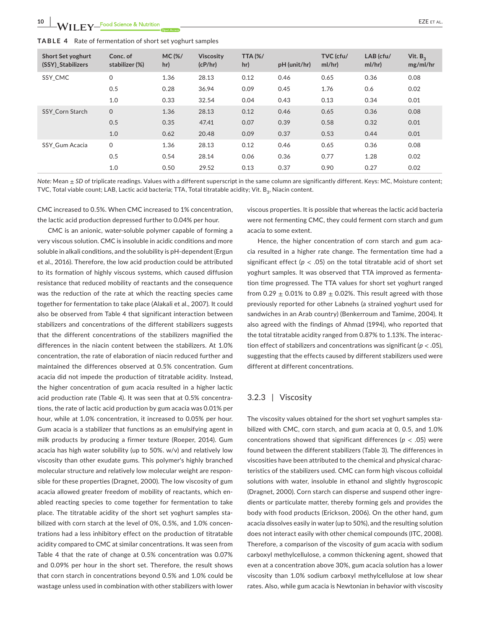| <b>TABLE 4</b> Rate of fermentation of short set yoghurt samples |  |
|------------------------------------------------------------------|--|
|------------------------------------------------------------------|--|

| <b>Short Set yoghurt</b><br>(SSY) Stabilizers | Conc. of<br>stabilizer (%) | <b>MC(%/</b><br>hr) | <b>Viscosity</b><br>(cP/hr) | <b>TTA (%/</b><br>hr) | pH (unit/hr) | TVC (cfu/<br>ml/hr) | $LAB$ (cfu/<br>ml/hr) | Vit. $B_3$<br>mg/ml/hr |
|-----------------------------------------------|----------------------------|---------------------|-----------------------------|-----------------------|--------------|---------------------|-----------------------|------------------------|
| SSY CMC                                       | $\mathbf 0$                | 1.36                | 28.13                       | 0.12                  | 0.46         | 0.65                | 0.36                  | 0.08                   |
|                                               | 0.5                        | 0.28                | 36.94                       | 0.09                  | 0.45         | 1.76                | 0.6                   | 0.02                   |
|                                               | 1.0                        | 0.33                | 32.54                       | 0.04                  | 0.43         | 0.13                | 0.34                  | 0.01                   |
| <b>SSY Corn Starch</b>                        | $\mathbf 0$                | 1.36                | 28.13                       | 0.12                  | 0.46         | 0.65                | 0.36                  | 0.08                   |
|                                               | 0.5                        | 0.35                | 47.41                       | 0.07                  | 0.39         | 0.58                | 0.32                  | 0.01                   |
|                                               | 1.0                        | 0.62                | 20.48                       | 0.09                  | 0.37         | 0.53                | 0.44                  | 0.01                   |
| SSY Gum Acacia                                | $\mathsf{O}$               | 1.36                | 28.13                       | 0.12                  | 0.46         | 0.65                | 0.36                  | 0.08                   |
|                                               | 0.5                        | 0.54                | 28.14                       | 0.06                  | 0.36         | 0.77                | 1.28                  | 0.02                   |
|                                               | 1.0                        | 0.50                | 29.52                       | 0.13                  | 0.37         | 0.90                | 0.27                  | 0.02                   |

*Note: Mean*  $\pm$  *SD* of triplicate readings. Values with a different superscript in the same column are significantly different. Keys: MC, Moisture content; TVC, Total viable count; LAB, Lactic acid bacteria; TTA, Total titratable acidity; Vit. B<sub>3</sub>, Niacin content.

CMC increased to 0.5%. When CMC increased to 1% concentration, the lactic acid production depressed further to 0.04% per hour.

CMC is an anionic, water-soluble polymer capable of forming a very viscous solution. CMC is insoluble in acidic conditions and more soluble in alkali conditions, and the solubility is pH-dependent (Ergun et al., 2016). Therefore, the low acid production could be attributed to its formation of highly viscous systems, which caused diffusion resistance that reduced mobility of reactants and the consequence was the reduction of the rate at which the reacting species came together for fermentation to take place (Alakali et al., 2007). It could also be observed from Table 4 that significant interaction between stabilizers and concentrations of the different stabilizers suggests that the different concentrations of the stabilizers magnified the differences in the niacin content between the stabilizers. At 1.0% concentration, the rate of elaboration of niacin reduced further and maintained the differences observed at 0.5% concentration. Gum acacia did not impede the production of titratable acidity. Instead, the higher concentration of gum acacia resulted in a higher lactic acid production rate (Table 4). It was seen that at 0.5% concentrations, the rate of lactic acid production by gum acacia was 0.01% per hour, while at 1.0% concentration, it increased to 0.05% per hour. Gum acacia is a stabilizer that functions as an emulsifying agent in milk products by producing a firmer texture (Roeper, 2014). Gum acacia has high water solubility (up to 50%. w/v) and relatively low viscosity than other exudate gums. This polymer's highly branched molecular structure and relatively low molecular weight are responsible for these properties (Dragnet, 2000). The low viscosity of gum acacia allowed greater freedom of mobility of reactants, which enabled reacting species to come together for fermentation to take place. The titratable acidity of the short set yoghurt samples stabilized with corn starch at the level of 0%, 0.5%, and 1.0% concentrations had a less inhibitory effect on the production of titratable acidity compared to CMC at similar concentrations. It was seen from Table 4 that the rate of change at 0.5% concentration was 0.07% and 0.09% per hour in the short set. Therefore, the result shows that corn starch in concentrations beyond 0.5% and 1.0% could be wastage unless used in combination with other stabilizers with lower

viscous properties. It is possible that whereas the lactic acid bacteria were not fermenting CMC, they could ferment corn starch and gum acacia to some extent.

Hence, the higher concentration of corn starch and gum acacia resulted in a higher rate change. The fermentation time had a significant effect ( $p < .05$ ) on the total titratable acid of short set yoghurt samples. It was observed that TTA improved as fermentation time progressed. The TTA values for short set yoghurt ranged from 0.29  $\pm$  0.01% to 0.89  $\pm$  0.02%. This result agreed with those previously reported for other Labnehs (a strained yoghurt used for sandwiches in an Arab country) (Benkerroum and Tamime, 2004). It also agreed with the findings of Ahmad (1994), who reported that the total titratable acidity ranged from 0.87% to 1.13%. The interaction effect of stabilizers and concentrations was significant (*p* < .05), suggesting that the effects caused by different stabilizers used were different at different concentrations.

## 3.2.3 | Viscosity

The viscosity values obtained for the short set yoghurt samples stabilized with CMC, corn starch, and gum acacia at 0, 0.5, and 1.0% concentrations showed that significant differences (*p* < .05) were found between the different stabilizers (Table 3). The differences in viscosities have been attributed to the chemical and physical characteristics of the stabilizers used. CMC can form high viscous colloidal solutions with water, insoluble in ethanol and slightly hygroscopic (Dragnet, 2000). Corn starch can disperse and suspend other ingredients or particulate matter, thereby forming gels and provides the body with food products (Erickson, 2006). On the other hand, gum acacia dissolves easily in water (up to 50%), and the resulting solution does not interact easily with other chemical compounds (ITC, 2008). Therefore, a comparison of the viscosity of gum acacia with sodium carboxyl methylcellulose, a common thickening agent, showed that even at a concentration above 30%, gum acacia solution has a lower viscosity than 1.0% sodium carboxyl methylcellulose at low shear rates. Also, while gum acacia is Newtonian in behavior with viscosity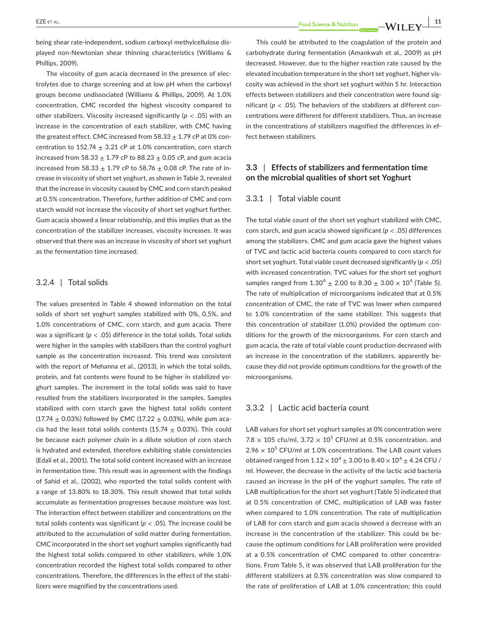being shear rate-independent, sodium carboxyl methylcellulose displayed non-Newtonian shear thinning characteristics (Williams & Phillips, 2009).

The viscosity of gum acacia decreased in the presence of electrolytes due to charge screening and at low pH when the carboxyl groups become undissociated (Williams & Phillips, 2009). At 1.0% concentration, CMC recorded the highest viscosity compared to other stabilizers. Viscosity increased significantly (*p* < .05) with an increase in the concentration of each stabilizer, with CMC having the greatest effect. CMC increased from  $58.33 \pm 1.79$  cP at 0% concentration to 152.74  $\pm$  3.21 cP at 1.0% concentration, corn starch increased from 58.33  $\pm$  1.79 cP to 88.23  $\pm$  0.05 cP, and gum acacia increased from 58.33  $\pm$  1.79 cP to 58.76  $\pm$  0.08 cP. The rate of increase in viscosity of short set yoghurt, as shown in Table 3, revealed that the increase in viscosity caused by CMC and corn starch peaked at 0.5% concentration. Therefore, further addition of CMC and corn starch would not increase the viscosity of short set yoghurt further. Gum acacia showed a linear relationship, and this implies that as the concentration of the stabilizer increases, viscosity increases. It was observed that there was an increase in viscosity of short set yoghurt as the fermentation time increased.

# 3.2.4 | Total solids

The values presented in Table 4 showed information on the total solids of short set yoghurt samples stabilized with 0%, 0.5%, and 1.0% concentrations of CMC, corn starch, and gum acacia. There was a significant (*p* < .05) difference in the total solids. Total solids were higher in the samples with stabilizers than the control yoghurt sample as the concentration increased. This trend was consistent with the report of Mehanna et al., (2013), in which the total solids, protein, and fat contents were found to be higher in stabilized yoghurt samples. The increment in the total solids was said to have resulted from the stabilizers incorporated in the samples. Samples stabilized with corn starch gave the highest total solids content (17.74  $\pm$  0.03%) followed by CMC (17.22  $\pm$  0.03%), while gum acacia had the least total solids contents (15.74  $\pm$  0.03%). This could be because each polymer chain in a dilute solution of corn starch is hydrated and extended, therefore exhibiting stable consistencies (Edali et al., 2001). The total solid content increased with an increase in fermentation time. This result was in agreement with the findings of Sahid et al., (2002), who reported the total solids content with a range of 13.80% to 18.30%. This result showed that total solids accumulate as fermentation progresses because moisture was lost. The interaction effect between stabilizer and concentrations on the total solids contents was significant ( $p < .05$ ). The increase could be attributed to the accumulation of solid matter during fermentation. CMC incorporated in the short set yoghurt samples significantly had the highest total solids compared to other stabilizers, while 1.0% concentration recorded the highest total solids compared to other concentrations. Therefore, the differences in the effect of the stabilizers were magnified by the concentrations used.

This could be attributed to the coagulation of the protein and carbohydrate during fermentation (Amankwah et al., 2009) as pH decreased. However, due to the higher reaction rate caused by the elevated incubation temperature in the short set yoghurt, higher viscosity was achieved in the short set yoghurt within 5 hr. Interaction effects between stabilizers and their concentration were found significant ( $p < .05$ ). The behaviors of the stabilizers at different concentrations were different for different stabilizers. Thus, an increase in the concentrations of stabilizers magnified the differences in effect between stabilizers.

# **3.3** | **Effects of stabilizers and fermentation time on the microbial qualities of short set Yoghurt**

## 3.3.1 | Total viable count

The total viable count of the short set yoghurt stabilized with CMC, corn starch, and gum acacia showed significant (*p* < .05) differences among the stabilizers. CMC and gum acacia gave the highest values of TVC and lactic acid bacteria counts compared to corn starch for short set yoghurt. Total viable count decreased significantly (*p* < .05) with increased concentration. TVC values for the short set yoghurt samples ranged from  $1.30^4 \pm 2.00$  to  $8.30 \pm 3.00 \times 10^4$  (Table 5). The rate of multiplication of microorganisms indicated that at 0.5% concentration of CMC, the rate of TVC was lower when compared to 1.0% concentration of the same stabilizer. This suggests that this concentration of stabilizer (1.0%) provided the optimum conditions for the growth of the microorganisms. For corn starch and gum acacia, the rate of total viable count production decreased with an increase in the concentration of the stabilizers, apparently because they did not provide optimum conditions for the growth of the microorganisms.

## 3.3.2 | Lactic acid bacteria count

LAB values for short set yoghurt samples at 0% concentration were  $7.8 \times 105$  cfu/ml,  $3.72 \times 10^5$  CFU/ml at 0.5% concentration, and  $2.96 \times 10^5$  CFU/ml at 1.0% concentrations. The LAB count values obtained ranged from  $1.12 \times 10^4 \pm 3.00$  to  $8.40 \times 10^4 \pm 4.24$  CFU / ml. However, the decrease in the activity of the lactic acid bacteria caused an increase in the pH of the yoghurt samples. The rate of LAB multiplication for the short set yoghurt (Table 5) indicated that at 0.5% concentration of CMC, multiplication of LAB was faster when compared to 1.0% concentration. The rate of multiplication of LAB for corn starch and gum acacia showed a decrease with an increase in the concentration of the stabilizer. This could be because the optimum conditions for LAB proliferation were provided at a 0.5% concentration of CMC compared to other concentrations. From Table 5, it was observed that LAB proliferation for the different stabilizers at 0.5% concentration was slow compared to the rate of proliferation of LAB at 1.0% concentration; this could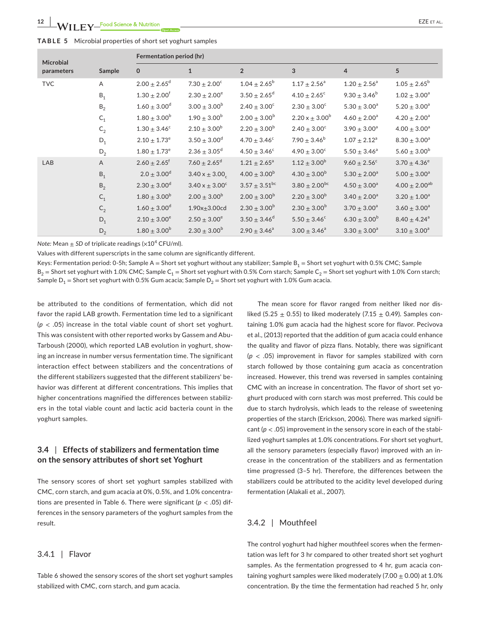| TABLE 5 Microbial properties of short set yoghurt samples |  |
|-----------------------------------------------------------|--|
|-----------------------------------------------------------|--|

| <b>Microbial</b> |                | Fermentation period (hr)     |                              |                               |                              |                   |                              |  |
|------------------|----------------|------------------------------|------------------------------|-------------------------------|------------------------------|-------------------|------------------------------|--|
| parameters       | Sample         | $\mathbf 0$                  | $\mathbf{1}$                 | $\overline{2}$                | 3                            | $\overline{4}$    | 5                            |  |
| <b>TVC</b>       | A              | $2.00 \pm 2.65$ <sup>d</sup> | $7.30 \pm 2.00^{\circ}$      | $1.04 \pm 2.65^{\rm b}$       | $1.17 \pm 2.56^a$            | $1.20 \pm 2.56^a$ | $1.05 \pm 2.65^{\rm b}$      |  |
|                  | $B_1$          | $1.30 \pm 2.00^{\dagger}$    | $2.30 \pm 2.00^e$            | $3.50 \pm 2.65$ <sup>d</sup>  | $4.10 \pm 2.65$ <sup>c</sup> | $9.30 \pm 3.46^b$ | $1.02 \pm 3.00^a$            |  |
|                  | $B_2$          | $1.60 \pm 3.00^{\rm d}$      | $3.00 \pm 3.00^b$            | $2.40 \pm 3.00^c$             | $2.30 \pm 3.00^{\circ}$      | $5.30 \pm 3.00^a$ | $5.20 \pm 3.00^a$            |  |
|                  | $C_1$          | $1.80 \pm 3.00^b$            | $1.90 \pm 3.00^b$            | $2.00 \pm 3.00^b$             | $2.20 x \pm 3.00^b$          | $4.60 \pm 2.00^a$ | $4.20 \pm 2.00^a$            |  |
|                  | $\mathsf{C}_2$ | $1.30 \pm 3.46^{\circ}$      | $2.10 \pm 3.00^b$            | $2.20 \pm 3.00^b$             | $2.40 \pm 3.00^{\circ}$      | $3.90 \pm 3.00^a$ | $4.00 \pm 3.00^a$            |  |
|                  | $D_1$          | $2.10 \pm 1.73^e$            | $3.50 \pm 3.00^d$            | $4.70 \pm 3.46^{\circ}$       | $7.90 \pm 3.46^b$            | $1.07 \pm 2.12^a$ | $8.30 \pm 3.00^a$            |  |
|                  | $D_2$          | $1.80\pm1.73^{\rm e}$        | $2.36 \pm 3.05^d$            | $4.50 \pm 3.46^{\circ}$       | $4.90 \pm 3.00^{\circ}$      | $5.50 \pm 3.46^a$ | $5.60 \pm 3.00^b$            |  |
| LAB              | A              | $2.60 \pm 2.65$ <sup>f</sup> | $7.60 \pm 2.65$ <sup>d</sup> | $1.21 \pm 2.65^a$             | $1.12 \pm 3.00^{\rm b}$      | $9.60 \pm 2.56^c$ | $3.70 \pm 4.36^e$            |  |
|                  | $B_1$          | $2.0 \pm 3.00^d$             | $3.40 \times \pm 3.00$       | $4.00 \pm 3.00^b$             | $4.30 \pm 3.00^b$            | $5.30 \pm 2.00^a$ | $5.00 \pm 3.00^a$            |  |
|                  | B <sub>2</sub> | $2.30 \pm 3.00^d$            | $3.40 x \pm 3.00^{\circ}$    | $3.57 \pm 3.51$ <sup>bc</sup> | $3.80 \pm 2.00^{bc}$         | $4.50 \pm 3.00^a$ | $4.00 \pm 2.00^{ab}$         |  |
|                  | $C_1$          | $1.80 \pm 3.00^b$            | $2.00 \pm 3.00^b$            | $2.00 \pm 3.00^b$             | $2.20 \pm 3.00^b$            | $3.40 \pm 2.00^a$ | $3.20 \pm 1.00^a$            |  |
|                  | $C_2$          | $1.60 \pm 3.00^d$            | $1.90x + 3.00c$ d            | $2.30 \pm 3.00^b$             | $2.30 \pm 3.00^b$            | $3.70 \pm 3.00^a$ | $3.60 \pm 3.00^a$            |  |
|                  | $D_1$          | $2.10 \pm 3.00^e$            | $2.50 \pm 3.00^e$            | $3.50 \pm 3.46^d$             | $5.50 \pm 3.46^c$            | $6.30 \pm 3.00^b$ | $8.40 \pm 4.24$ <sup>a</sup> |  |
|                  | $D_2$          | $1.80 \pm 3.00^b$            | $2.30 \pm 3.00^b$            | $2.90 \pm 3.46^a$             | $3.00 \pm 3.46^a$            | $3.30 \pm 3.00^a$ | $3.10 \pm 3.00^a$            |  |

*Note:* Mean  $+$  *SD* of triplicate readings ( $\times$ 10<sup>4</sup> CFU/ml).

Values with different superscripts in the same column are significantly different.

Keys: Fermentation period: 0-5h; Sample A = Short set yoghurt without any stabilizer; Sample B<sub>1</sub> = Short set yoghurt with 0.5% CMC; Sample  $B_2$  = Short set yoghurt with 1.0% CMC; Sample C<sub>1</sub> = Short set yoghurt with 0.5% Corn starch; Sample C<sub>2</sub> = Short set yoghurt with 1.0% Corn starch; Sample  $D_1$  = Short set yoghurt with 0.5% Gum acacia; Sample  $D_2$  = Short set yoghurt with 1.0% Gum acacia.

be attributed to the conditions of fermentation, which did not favor the rapid LAB growth. Fermentation time led to a significant  $(p < .05)$  increase in the total viable count of short set yoghurt. This was consistent with other reported works by Gassem and Abu-Tarboush (2000), which reported LAB evolution in yoghurt, showing an increase in number versus fermentation time. The significant interaction effect between stabilizers and the concentrations of the different stabilizers suggested that the different stabilizers' behavior was different at different concentrations. This implies that higher concentrations magnified the differences between stabilizers in the total viable count and lactic acid bacteria count in the yoghurt samples.

# **3.4** | **Effects of stabilizers and fermentation time on the sensory attributes of short set Yoghurt**

The sensory scores of short set yoghurt samples stabilized with CMC, corn starch, and gum acacia at 0%, 0.5%, and 1.0% concentrations are presented in Table 6. There were significant (*p* < .05) differences in the sensory parameters of the yoghurt samples from the result.

# 3.4.1 | Flavor

Table 6 showed the sensory scores of the short set yoghurt samples stabilized with CMC, corn starch, and gum acacia.

The mean score for flavor ranged from neither liked nor disliked (5.25  $\pm$  0.55) to liked moderately (7.15  $\pm$  0.49). Samples containing 1.0% gum acacia had the highest score for flavor. Pecivova et al., (2013) reported that the addition of gum acacia could enhance the quality and flavor of pizza flans. Notably, there was significant  $(p < .05)$  improvement in flavor for samples stabilized with corn starch followed by those containing gum acacia as concentration increased. However, this trend was reversed in samples containing CMC with an increase in concentration. The flavor of short set yoghurt produced with corn starch was most preferred. This could be due to starch hydrolysis, which leads to the release of sweetening properties of the starch (Erickson, 2006). There was marked significant ( $p < .05$ ) improvement in the sensory score in each of the stabilized yoghurt samples at 1.0% concentrations. For short set yoghurt, all the sensory parameters (especially flavor) improved with an increase in the concentration of the stabilizers and as fermentation time progressed (3–5 hr). Therefore, the differences between the stabilizers could be attributed to the acidity level developed during fermentation (Alakali et al., 2007).

## 3.4.2 | Mouthfeel

The control yoghurt had higher mouthfeel scores when the fermentation was left for 3 hr compared to other treated short set yoghurt samples. As the fermentation progressed to 4 hr, gum acacia containing yoghurt samples were liked moderately (7.00  $\pm$  0.00) at 1.0% concentration. By the time the fermentation had reached 5 hr, only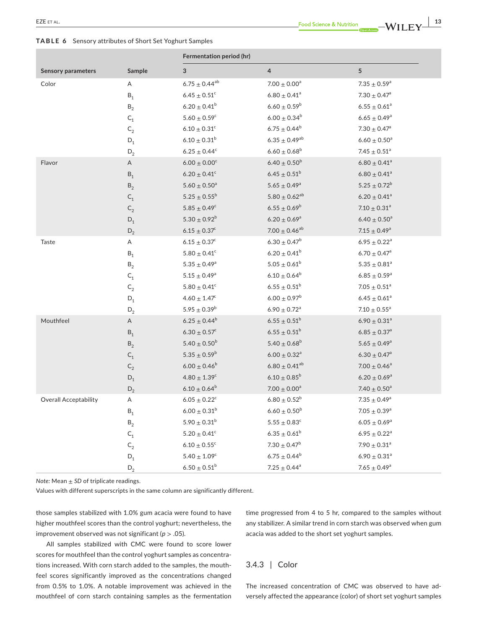**TABLE 6** Sensory attributes of Short Set Yoghurt Samples

|                              |                         | Fermentation period (hr)     |                              |                              |
|------------------------------|-------------------------|------------------------------|------------------------------|------------------------------|
| <b>Sensory parameters</b>    | Sample                  | 3                            | $\overline{4}$               | 5                            |
| Color                        | Α                       | $6.75 \pm 0.44^{ab}$         | $7.00 \pm 0.00^a$            | $7.35 \pm 0.59^a$            |
|                              | $\mathsf{B}_1$          | $6.45 \pm 0.51^c$            | $6.80\pm0.41^{\rm a}$        | $7.30 \pm 0.47$ <sup>a</sup> |
|                              | $\mathsf{B}_2$          | $6.20 \pm 0.41^b$            | $6.60 \pm 0.59^{\rm b}$      | $6.55 \pm 0.61^a$            |
|                              | $\mathsf{C}_1$          | $5.60 \pm 0.59^c$            | $6.00\pm0.34^{\text{b}}$     | $6.65 \pm 0.49^a$            |
|                              | $\mathsf{C}_2$          | $6.10 \pm 0.31^c$            | $6.75 \pm 0.44^b$            | $7.30 \pm 0.47$ <sup>a</sup> |
|                              | $\mathsf{D}_1$          | $6.10 \pm 0.31^b$            | $6.35 \pm 0.49^{ab}$         | $6.60 \pm 0.50^a$            |
|                              | $\mathsf{D}_2$          | $6.25 \pm 0.44^c$            | $6.60 \pm 0.68^b$            | $7.45\pm0.51^{\rm a}$        |
| Flavor                       | Α                       | $6.00 \pm 0.00^c$            | $6.40 \pm 0.50^b$            | $6.80 \pm 0.41$ <sup>a</sup> |
|                              | $\mathsf{B}_1$          | $6.20 \pm 0.41$ <sup>c</sup> | $6.45 \pm 0.51^b$            | $6.80\pm0.41^{\rm a}$        |
|                              | $\mathsf{B}_2$          | $5.60\pm0.50^{\rm a}$        | $5.65 \pm 0.49^a$            | $5.25 \pm 0.72^b$            |
|                              | $C_1$                   | $5.25\pm0.55^{\rm b}$        | $5.80 \pm 0.62^{ab}$         | $6.20 \pm 0.41$ <sup>a</sup> |
|                              | $C_2$                   | $5.85 \pm 0.49^c$            | $6.55 \pm 0.69^b$            | $7.10 \pm 0.31$ <sup>a</sup> |
|                              | $\mathsf{D}_1$          | $5.30 \pm 0.92^b$            | $6.20 \pm 0.69^a$            | $6.40 \pm 0.50^a$            |
|                              | $D_2$                   | $6.15 \pm 0.37^c$            | $7.00 \pm 0.46^{ab}$         | $7.15 \pm 0.49^a$            |
| Taste                        | Α                       | $6.15 \pm 0.37^c$            | $6.30 \pm 0.47^b$            | $6.95 \pm 0.22$ <sup>a</sup> |
|                              | $\mathsf{B}_1$          | $5.80 \pm 0.41$ <sup>c</sup> | $6.20 \pm 0.41^b$            | $6.70\pm0.47^{\rm a}$        |
|                              | $\mathsf{B}_2$          | $5.35 \pm 0.49^a$            | $5.05 \pm 0.61^b$            | $5.35\pm0.81^{\rm a}$        |
|                              | $\mathsf{C}_\mathsf{1}$ | $5.15 \pm 0.49^a$            | $6.10 \pm 0.64^b$            | $6.85 \pm 0.59^a$            |
|                              | $\mathsf{C}_2$          | $5.80 \pm 0.41$ <sup>c</sup> | $6.55 \pm 0.51^b$            | $7.05 \pm 0.51$ <sup>a</sup> |
|                              | $\mathsf{D}_1$          | $4.60 \pm 1.47^c$            | $6.00 \pm 0.97^b$            | $6.45\pm0.61^{\rm a}$        |
|                              | $\mathsf{D}_2$          | $5.95 \pm 0.39^b$            | $6.90 \pm 0.72$ <sup>a</sup> | $7.10 \pm 0.55^a$            |
| Mouthfeel                    | Α                       | $6.25 \pm 0.44^b$            | $6.55 \pm 0.51^b$            | $6.90 \pm 0.31$ <sup>a</sup> |
|                              | $\mathsf{B}_1$          | $6.30 \pm 0.57^c$            | $6.55 \pm 0.51^b$            | $6.85 \pm 0.37$ <sup>a</sup> |
|                              | $\mathsf{B}_2$          | $5.40 \pm 0.50^b$            | $5.40 \pm 0.68^b$            | $5.65 \pm 0.49^a$            |
|                              | $\mathsf{C}_\mathsf{1}$ | $5.35 \pm 0.59^b$            | $6.00 \pm 0.32$ <sup>a</sup> | $6.30 \pm 0.47^{\circ}$      |
|                              | $C_2$                   | $6.00\pm0.46^{\rm b}$        | $6.80 \pm 0.41^{ab}$         | $7.00\pm0.46^{\rm a}$        |
|                              | $\mathsf{D}_1$          | $4.80 \pm 1.39^c$            | $6.10 \pm 0.85^b$            | $6.20 \pm 0.69^a$            |
|                              | $D_2$                   | $6.10 \pm 0.64^b$            | $7.00 \pm 0.00^a$            | 7.40 $\pm$ 0.50 <sup>a</sup> |
| <b>Overall Acceptability</b> | Α                       | $6.05 \pm 0.22^c$            | $6.80 \pm 0.52^b$            | $7.35 \pm 0.49^a$            |
|                              | $\mathsf{B}_1$          | $6.00 \pm 0.31^b$            | $6.60 \pm 0.50^b$            | $7.05 \pm 0.39^a$            |
|                              | $\mathsf{B}_2$          | $5.90 \pm 0.31^b$            | $5.55 \pm 0.83^c$            | $6.05 \pm 0.69^a$            |
|                              | $\mathsf{C}_1$          | $5.20\pm0.41^{\rm c}$        | $6.35 \pm 0.61^b$            | $6.95 \pm 0.22^a$            |
|                              | $\mathsf{C}_2$          | $6.10 \pm 0.55^c$            | $7.30 \pm 0.47^b$            | $7.90 \pm 0.31^a$            |
|                              | $\mathsf{D}_1$          | $5.40 \pm 1.09^c$            | $6.75 \pm 0.44^b$            | $6.90 \pm 0.31^a$            |
|                              | $\mathsf{D}_2$          | $6.50 \pm 0.51^b$            | $7.25 \pm 0.44^a$            | $7.65 \pm 0.49^{\rm a}$      |

*Note:* Mean ± *SD* of triplicate readings.

Values with different superscripts in the same column are significantly different.

those samples stabilized with 1.0% gum acacia were found to have higher mouthfeel scores than the control yoghurt; nevertheless, the improvement observed was not significant (*p* > .05).

All samples stabilized with CMC were found to score lower scores for mouthfeel than the control yoghurt samples as concentrations increased. With corn starch added to the samples, the mouthfeel scores significantly improved as the concentrations changed from 0.5% to 1.0%. A notable improvement was achieved in the mouthfeel of corn starch containing samples as the fermentation time progressed from 4 to 5 hr, compared to the samples without any stabilizer. A similar trend in corn starch was observed when gum acacia was added to the short set yoghurt samples.

# 3.4.3 | Color

The increased concentration of CMC was observed to have adversely affected the appearance (color) of short set yoghurt samples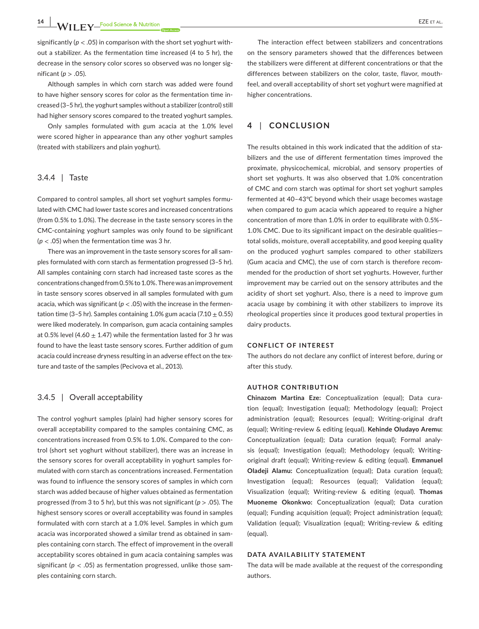**14 |**  EZE et al.

significantly (*p* < .05) in comparison with the short set yoghurt without a stabilizer. As the fermentation time increased (4 to 5 hr), the decrease in the sensory color scores so observed was no longer significant (*p* > .05).

Although samples in which corn starch was added were found to have higher sensory scores for color as the fermentation time increased (3–5 hr), the yoghurt samples without a stabilizer (control) still had higher sensory scores compared to the treated yoghurt samples.

Only samples formulated with gum acacia at the 1.0% level were scored higher in appearance than any other yoghurt samples (treated with stabilizers and plain yoghurt).

## 3.4.4 | Taste

Compared to control samples, all short set yoghurt samples formulated with CMC had lower taste scores and increased concentrations (from 0.5% to 1.0%). The decrease in the taste sensory scores in the CMC-containing yoghurt samples was only found to be significant (*p* < .05) when the fermentation time was 3 hr.

There was an improvement in the taste sensory scores for all samples formulated with corn starch as fermentation progressed (3–5 hr). All samples containing corn starch had increased taste scores as the concentrations changed from 0.5% to 1.0%. There was an improvement in taste sensory scores observed in all samples formulated with gum acacia, which was significant ( $p < .05$ ) with the increase in the fermentation time (3–5 hr). Samples containing 1.0% gum acacia (7.10  $\pm$  0.55) were liked moderately. In comparison, gum acacia containing samples at 0.5% level (4.60  $\pm$  1.47) while the fermentation lasted for 3 hr was found to have the least taste sensory scores. Further addition of gum acacia could increase dryness resulting in an adverse effect on the texture and taste of the samples (Pecivova et al., 2013).

## 3.4.5 | Overall acceptability

The control yoghurt samples (plain) had higher sensory scores for overall acceptability compared to the samples containing CMC, as concentrations increased from 0.5% to 1.0%. Compared to the control (short set yoghurt without stabilizer), there was an increase in the sensory scores for overall acceptability in yoghurt samples formulated with corn starch as concentrations increased. Fermentation was found to influence the sensory scores of samples in which corn starch was added because of higher values obtained as fermentation progressed (from 3 to 5 hr), but this was not significant (*p* > .05). The highest sensory scores or overall acceptability was found in samples formulated with corn starch at a 1.0% level. Samples in which gum acacia was incorporated showed a similar trend as obtained in samples containing corn starch. The effect of improvement in the overall acceptability scores obtained in gum acacia containing samples was significant (*p* < .05) as fermentation progressed, unlike those samples containing corn starch.

The interaction effect between stabilizers and concentrations on the sensory parameters showed that the differences between the stabilizers were different at different concentrations or that the differences between stabilizers on the color, taste, flavor, mouthfeel, and overall acceptability of short set yoghurt were magnified at higher concentrations.

# **4** | **CONCLUSION**

The results obtained in this work indicated that the addition of stabilizers and the use of different fermentation times improved the proximate, physicochemical, microbial, and sensory properties of short set yoghurts. It was also observed that 1.0% concentration of CMC and corn starch was optimal for short set yoghurt samples fermented at 40–43℃ beyond which their usage becomes wastage when compared to gum acacia which appeared to require a higher concentration of more than 1.0% in order to equilibrate with 0.5%– 1.0% CMC. Due to its significant impact on the desirable qualities total solids, moisture, overall acceptability, and good keeping quality on the produced yoghurt samples compared to other stabilizers (Gum acacia and CMC), the use of corn starch is therefore recommended for the production of short set yoghurts. However, further improvement may be carried out on the sensory attributes and the acidity of short set yoghurt. Also, there is a need to improve gum acacia usage by combining it with other stabilizers to improve its rheological properties since it produces good textural properties in dairy products.

## **CONFLICT OF INTEREST**

The authors do not declare any conflict of interest before, during or after this study.

#### **AUTHOR CONTRIBUTION**

**Chinazom Martina Eze:** Conceptualization (equal); Data curation (equal); Investigation (equal); Methodology (equal); Project administration (equal); Resources (equal); Writing-original draft (equal); Writing-review & editing (equal). **Kehinde Oludayo Aremu:** Conceptualization (equal); Data curation (equal); Formal analysis (equal); Investigation (equal); Methodology (equal); Writingoriginal draft (equal); Writing-review & editing (equal). **Emmanuel Oladeji Alamu:** Conceptualization (equal); Data curation (equal); Investigation (equal); Resources (equal); Validation (equal); Visualization (equal); Writing-review & editing (equal). **Thomas Muoneme Okonkwo:** Conceptualization (equal); Data curation (equal); Funding acquisition (equal); Project administration (equal); Validation (equal); Visualization (equal); Writing-review & editing (equal).

## **DATA AVAILABILITY STATEMENT**

The data will be made available at the request of the corresponding authors.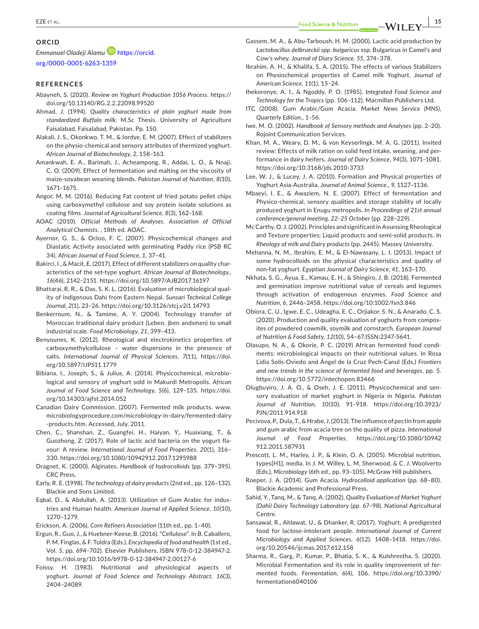#### **ORCID**

## *Emmanuel Oladeji Alamu* [https://orcid.](https://orcid.org/0000-0001-6263-1359)

[org/0000-0001-6263-1359](https://orcid.org/0000-0001-6263-1359)

## **REFERENCES**

- Abayneh, S. (2020). *Review on Yoghurt Production 1056 Process*. [https://](https://doi.org/10.13140/RG.2.2.22098.99520) [doi.org/10.13140/RG.2.2.22098.99520](https://doi.org/10.13140/RG.2.2.22098.99520)
- Ahmad, J. (1994). *Quality characteristics of plain yoghurt made from standardized Buffalo milk*. M.Sc Thesis. University of Agriculture Faisalabad, Faisalabad, Pakistan. Pp. 150.
- Alakali, J. S., Okonkwo, T. M., & Iordye, E. M. (2007). Effect of stabilizers on the physio-chemical and sensory attributes of thermized yoghurt. *African Journal of Biotechnology*, *2*, 158–163.
- Amankwah, E. A., Barimah, J., Acheampong, R., Addai, L. O., & Nnaji, C. O. (2009). Effect of fermentation and malting on the viscosity of maize-soyabean weaning blends. *Pakistan Journal of Nutrition*, *8*(10), 1671–1675.
- Angor, M. M. (2016). Reducing Fat content of fried potato pellet chips using carboxymethyl cellulose and soy protein isolate solutions as coating films. *Journal of Agricultural Science*, *8*(3), 162–168.
- AOAC (2010). *Official Methods of Analyses. Association of Official Analytical Chemists*. , 18th ed. AOAC.
- Ayernor, G. S., & Ocloo, F. C. (2007). Physicochemical changes and Diastatic Activity associated with germinating Paddy rice (PSB RC 34). *African Journal of Food Science*, *1*, 37–41.
- Bakirci, I., & Macit, E. (2017). Effect of different stabilizers on quality characteristics of the set-type yoghurt. *African Journal of Biotechnology.*, *16*(46), 2142–2151.<https://doi.org/10.5897/AJB2017.16197>
- Bhattarai, R. R., & Das, S. K. L. (2016). Evaluation of microbiological quality of indigenous Dahi from Eastern Nepal. *Sunsari Technical College Journal*, *2*(1), 23–26.<https://doi.org/10.3126/stcj.v2i1.14793>
- Benkerroum, N., & Tamime, A. Y. (2004). Technology transfer of Moroccan traditional dairy product (Leben, jben andsmen) to small industrial scale. *Food Microbiology*, *21*, 399–413.
- Benyounes, K. (2012). Rheological and electrokinetics properties of carboxymethylcellulose – water dispersions in the presence of salts. *International Journal of Physical Sciences*, *7*(11), [https://doi.](https://doi.org/10.5897/IJPS11.1779) [org/10.5897/IJPS11.1779](https://doi.org/10.5897/IJPS11.1779)
- Bibiana, I., Joseph, S., & Julius, A. (2014). Physicochemical, microbiological and sensory of yoghurt sold in Makurdi Metropolis. *African Journal of Food Science and Technology*, *5*(6), 129–135. [https://doi.](https://doi.org/10.14303/ajfst.2014.052) [org/10.14303/ajfst.2014.052](https://doi.org/10.14303/ajfst.2014.052)
- Canadian Dairy Commission. (2007). Fermented milk products. [www.](http://www.microbiologyprocedure.com/microbiology-in-dairy/fermented-dairy-products.htm) [microbiologyprocedure.com/microbiology-in-dairy/fermented-dairy](http://www.microbiologyprocedure.com/microbiology-in-dairy/fermented-dairy-products.htm) [-products.htm](http://www.microbiologyprocedure.com/microbiology-in-dairy/fermented-dairy-products.htm). Accessed, July, 2011.
- Chen, C., Shanshan, Z., Guangfei, H., Haiyan, Y., Huaixiang, T., & Guozhong, Z. (2017). Role of lactic acid bacteria on the yogurt flavour: A review. *International Journal of Food Properties*, *20*(1), 316– 330. <https://doi.org/10.1080/10942912.2017.1295988>
- Dragnet, K. (2000). Alginates. *Handbook of hydrocolloids* (pp. 379–395). CRC Press.
- Early, R. E. (1998). *The technology of dairy products* (2nd ed., pp. 126–132). Blackie and Sons Limited.
- Eqbal, D., & Abdullah, A. (2013). Utilization of Gum Arabic for industries and Human health. *American Journal of Applied Science*, *10*(10), 1270–1279.
- Erickson, A. (2006). *Corn Refiners Association* (11th ed., pp. 1–40).
- Ergun, R., Guo, J., & Huebner-Keese, B. (2016). "Cellulose". In B. Caballero, P. M. Finglas, & F. Toldra (Eds.), *Encyclopedia of food and health* (1st ed., Vol. *5*, pp. 694–702). Elsevier Publishers. ISBN 978-0-12-384947-2. <https://doi.org/10.1016/b978-0-12-384947-2.00127-6>
- Foissy, H. (1983). Nutritional and physiological aspects of yoghurt. *Journal of Food Science and Technology Abstract*, *16*(3), 2404–24089.
- Gassem, M. A., & Abu-Tarboush, H. M. (2000). Lactic acid production by *Lactobacillus delbrueckii spp*. *bulgaricus* ssp. Bulgaricus in Camel's and Cow's whey. *Journal of Diary Science*, *55*, 374–378.
- Ibrahim, A. H., & Khalifa, S. A. (2015). The effects of various Stabilizers on Physiochemical properties of Camel milk Yoghurt. *Journal of American Science*, *11*(1), 15–24.
- Ihekoronye, A. I., & Ngoddy, P. O. (1985). *Integrated Food Science and Technology for the Tropics* (pp. 106–112). Macmillan Publishers Ltd.
- ITC (2008). Gum Arabic/Gum Acacia. *Market News Service (MNS), Quarterly Edition.*, 1–56.
- Iwe, M. O. (2002). *Handbook of Sensory methods and Analyses* (pp. 2–20). Rojoint Communication Services.
- Khan, M. A., Weary, D. M., & von Keyserlingk, M. A. G. (2011). Invited review: Effects of milk ration on solid feed intake, weaning, and performance in dairy heifers. *Journal of Dairy Science*, *94*(3), 1071–1081. <https://doi.org/10.3168/jds.2010-3733>
- Lee, W. J., & Lucey, J. A. (2010). Formation and Physical properties of Yoghurt Asia-Australia. *Journal of Animal Science.*, *9*, 1127–1136.
- Mbaeyi, I. E., & Awaziem, N. E. (2007). Effect of fermentation and Physico-chemical, sensory qualities and storage stability of locally produced yoghurt in Enugu metropolis. In *Proceedings of 21st annual conference/general meeting. 22–25 October* (pp. 228–229). .
- Mc Carthy, O. J. (2002). Principles and significant in Assessing Rheological and Texture properties; Liquid products and semi-solid products. In *Rheology of milk and Dairy products* (pp. 2445). Massey University.
- Mehanna, N. M., Ibrahim, E. M., & El-Nawasany, L. I. (2013). Impact of some hydrocolloids on the physical characteristics and quality of non-fat yoghurt. *Egyptian Journal of Dairy Science*, *41*, 163–170.
- Nkhata, S. G., Ayua, E., Kamau, E. H., & Shingiro, J. B. (2018). Fermented and germination improve nutritional value of cereals and legumes through activation of endogenous enzymes. *Food Science and Nutrition*, *6*, 2446–2458.<https://doi.org/10:1002/fsn3.846>
- Obiora, C. U., Igwe, E. C., Udeagha, E. C., Orjiakor, S. N., & Anarado, C. S. (2020). Production and quality evaluation of yoghurts from composites of powdered cowmilk, soymilk and cornstarch. *European Journal of Nutrition & Food Safety*, *12*(10), 54–67.ISSN:2347-5641.
- Olasupo, N. A., & Okorie, P. C. (2019) African fermented food condiments: microbiological impacts on their nutritional values. In Rosa Lidia Solís-Oviedo and Ángel de la Cruz Pech-Canul (Eds.) *Frontiers and new trends in the science of fermented food and beverages*, pp. 5. <https://doi.org/10.5772/intechopen.83466>
- Olugbuyiro, J. A. O., & Oseh, J. E. (2011). Physicochemical and sensory evaluation of market yoghurt in Nigeria in Nigeria. *Pakistan Journal of Nutrition*, *10*(10), 91–918. [https://doi.org/10.3923/](https://doi.org/10.3923/PJN/2011.914.918) [PJN/2011.914.918](https://doi.org/10.3923/PJN/2011.914.918)
- Pecivova, P., Dula, T., & Hrabe, J. (2013). The influence of pectin from apple and gum arabic from acacia tree on the quality of pizza. *International Journal of Food Properties*, [https://doi.org/10.1080/10942](https://doi.org/10.1080/10942912.2011.587931) [912.2011.587931](https://doi.org/10.1080/10942912.2011.587931)
- Prescott, L. M., Harley, J. P., & Klein, O. A. (2005). Microbial nutrition, types[H1], media. In J. M. Willey, L. M. Sherwood, & C. J. Woolverto (Eds.), *Microbiology* (6th ed., pp. 93–105). McGraw Hill publishers.
- Roeper, J. A. (2014). Gum Acacia. *Hydrocolloid application* (pp. 68–80). Blackie Academic and Professional Press.
- Sahid, Y., Tanq, M., & Tanq, A. (2002). *Quality Evaluation of Market Yoghurt (Dahi) Dairy Technology Laboratory* (pp. 67–98). National Agricultural Centre.
- Sansawal, R., Ahlawat, U., & Dhanker, R. (2017). Yoghurt: A predigested food for lactose-intolerant people. *International Journal of Current Microbiology and Applied Sciences*, *6*(12), 1408–1418. [https://doi.](https://doi.org/10.20546/ijcmas.2017.612.158) [org/10.20546/ijcmas.2017.612.158](https://doi.org/10.20546/ijcmas.2017.612.158)
- Sharma, R., Garg, P., Kumar, P., Bhatia, S. K., & Kulshrestha, S. (2020). Microbial Fermentation and its role in quality improvement of fermented foods. *Fermentation*, *6*(4), 106. [https://doi.org/10.3390/](https://doi.org/10.3390/fermentation6040106) [fermentation6040106](https://doi.org/10.3390/fermentation6040106)